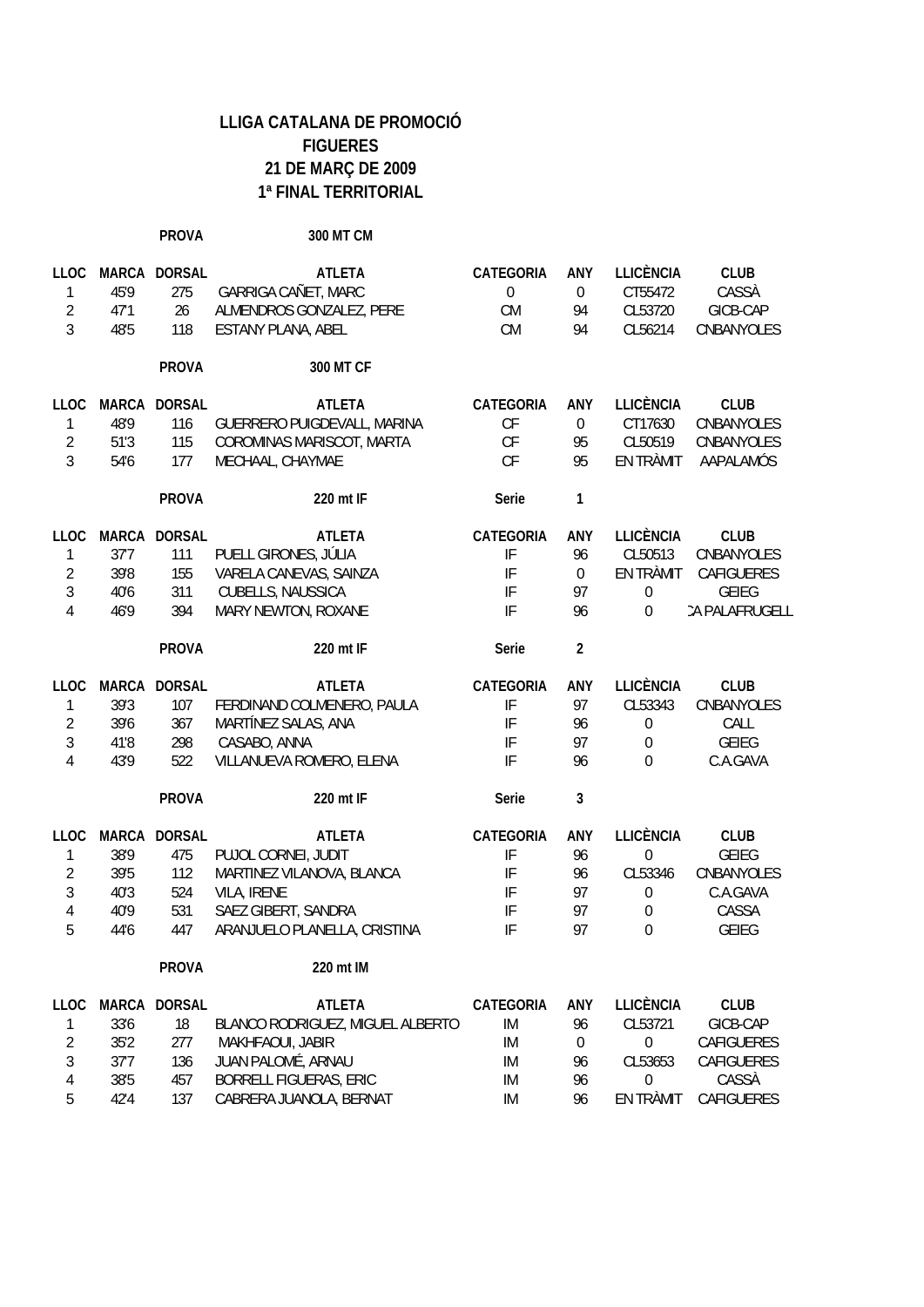**PROVA 300 MT CM**

| <b>LLOC</b>    | <b>MARCA</b> | <b>DORSAL</b> | <b>ATLETA</b>                    | <b>CATEGORIA</b>           | ANY              | <b>LLICÈNCIA</b> | <b>CLUB</b>       |
|----------------|--------------|---------------|----------------------------------|----------------------------|------------------|------------------|-------------------|
| 1              | 45'9         | 275           | GARRIGA CAÑET, MARC              | $\theta$                   | $\boldsymbol{0}$ | CT55472          | CASSÀ             |
| $\overline{2}$ | 47'1         | 26            | ALMENDROS GONZALEZ, PERE         | <b>CM</b>                  | 94               | CL53720          | GICB-CAP          |
| 3              | 48'5         | 118           | <b>ESTANY PLANA, ABEL</b>        | <b>CM</b>                  | 94               | CL56214          | CNBANYOLES        |
|                |              | <b>PROVA</b>  | 300 MT CF                        |                            |                  |                  |                   |
|                |              |               |                                  |                            |                  |                  |                   |
| <b>LLOC</b>    | <b>MARCA</b> | <b>DORSAL</b> | <b>ATLETA</b>                    | <b>CATEGORIA</b>           | <b>ANY</b>       | <b>LLICÈNCIA</b> | <b>CLUB</b>       |
| 1              | 48'9         | 116           | GUERRERO PUIGDEVALL, MARINA      | CF                         | $\boldsymbol{0}$ | CT17630          | CNBANYOLES        |
| $\overline{2}$ | 51'3         | 115           | COROMINAS MARISCOT, MARTA        | CF                         | 95               | CL50519          | CNBANYOLES        |
| 3              | 54'6         | 177           | MECHAAL, CHAYMAE                 | CF                         | 95               | EN TRÀMIT        | AAPALAMÓS         |
|                |              | <b>PROVA</b>  | 220 mt IF                        | Serie                      | 1                |                  |                   |
| <b>LLOC</b>    | <b>MARCA</b> | <b>DORSAL</b> | <b>ATLETA</b>                    | <b>CATEGORIA</b>           | ANY              | LLICÈNCIA        | <b>CLUB</b>       |
| $\mathbf 1$    | 37'7         | 111           | PUELL GIRONES, JÚLIA             | $\ensuremath{\mathsf{IF}}$ | 96               | CL50513          | CNBANYOLES        |
| $\overline{2}$ | 39'8         | 155           | VARELA CANEVAS, SAINZA           | IF                         | $\boldsymbol{0}$ | EN TRÀMIT        | <b>CAFIGUERES</b> |
| 3              | 40'6         | 311           | <b>CUBELLS, NAUSSICA</b>         | IF                         | 97               | $\boldsymbol{0}$ | <b>GEIEG</b>      |
| 4              | 46'9         | 394           | MARY NEWTON, ROXANE              | IF                         | 96               | 0                | CA PALAFRUGELL    |
|                |              |               |                                  |                            |                  |                  |                   |
|                |              | <b>PROVA</b>  | 220 mt IF                        | Serie                      | $\overline{2}$   |                  |                   |
| <b>LLOC</b>    |              | MARCA DORSAL  | <b>ATLETA</b>                    | <b>CATEGORIA</b>           | ANY              | <b>LLICÈNCIA</b> | <b>CLUB</b>       |
| 1              | 39'3         | 107           | FERDINAND COLMENERO, PAULA       | IF                         | 97               | CL53343          | CNBANYOLES        |
| $\overline{2}$ | 39'6         | 367           | MARTÍNEZ SALAS, ANA              | IF                         | 96               | $\boldsymbol{0}$ | CALL              |
| 3              | 41'8         | 298           | CASABO, ANNA                     | IF                         | 97               | $\boldsymbol{0}$ | <b>GEIEG</b>      |
| $\overline{4}$ | 43'9         | 522           | VILLANUEVA ROMERO, ELENA         | IF                         | 96               | $\Omega$         | C.A.GAVA          |
|                |              | <b>PROVA</b>  | 220 mt IF                        | Serie                      | 3                |                  |                   |
| <b>LLOC</b>    | <b>MARCA</b> | <b>DORSAL</b> | <b>ATLETA</b>                    | <b>CATEGORIA</b>           | ANY              | <b>LLICÈNCIA</b> | <b>CLUB</b>       |
| 1              | 38'9         | 475           | PUJOL CORNEI, JUDIT              | IF                         | 96               | $\boldsymbol{0}$ | <b>GEIEG</b>      |
| $\overline{2}$ | 39'5         | 112           | MARTINEZ VILANOVA, BLANCA        | $\ensuremath{\mathsf{IF}}$ | 96               | CL53346          | CNBANYOLES        |
| 3              | 40'3         | 524           | VILA, IRENE                      | $\ensuremath{\mathsf{IF}}$ | 97               | $\boldsymbol{0}$ | C.A.GAVA          |
| $\overline{4}$ | 40'9         | 531           | SAEZ GIBERT, SANDRA              | $\ensuremath{\mathsf{IF}}$ | 97               | $\boldsymbol{0}$ | CASSA             |
| 5              |              |               |                                  | IF                         | 97               |                  |                   |
|                | 44'6         | 447           | ARANJUELO PLANELLA, CRISTINA     |                            |                  | $\mathbf 0$      | <b>GEIEG</b>      |
|                |              | <b>PROVA</b>  | 220 mt IM                        |                            |                  |                  |                   |
| <b>LLOC</b>    | MARCA        | <b>DORSAL</b> | <b>ATLETA</b>                    | <b>CATEGORIA</b>           | ANY              | <b>LLICÈNCIA</b> | <b>CLUB</b>       |
| 1              | 33'6         | 18            | BLANCO RODRIGUEZ, MIGUEL ALBERTO | IM                         | 96               | CL53721          | GICB-CAP          |
| $\overline{2}$ | 35'2         | 277           | MAKHFAOUI, JABIR                 | IM                         | $\mathbf 0$      | $\boldsymbol{0}$ | CAFIGUERES        |
| $\mathfrak{Z}$ | 37'7         | 136           | JUAN PALOMÉ, ARNAU               | IM                         | 96               | CL53653          | CAFIGUERES        |
| $\overline{4}$ | 38'5         | 457           | <b>BORRELL FIGUERAS, ERIC</b>    | IM                         | 96               | 0                | CASSÀ             |
| 5              | 42'4         | 137           | CABRERA JUANOLA, BERNAT          | IM                         | 96               | EN TRÀMIT        | CAFIGUERES        |
|                |              |               |                                  |                            |                  |                  |                   |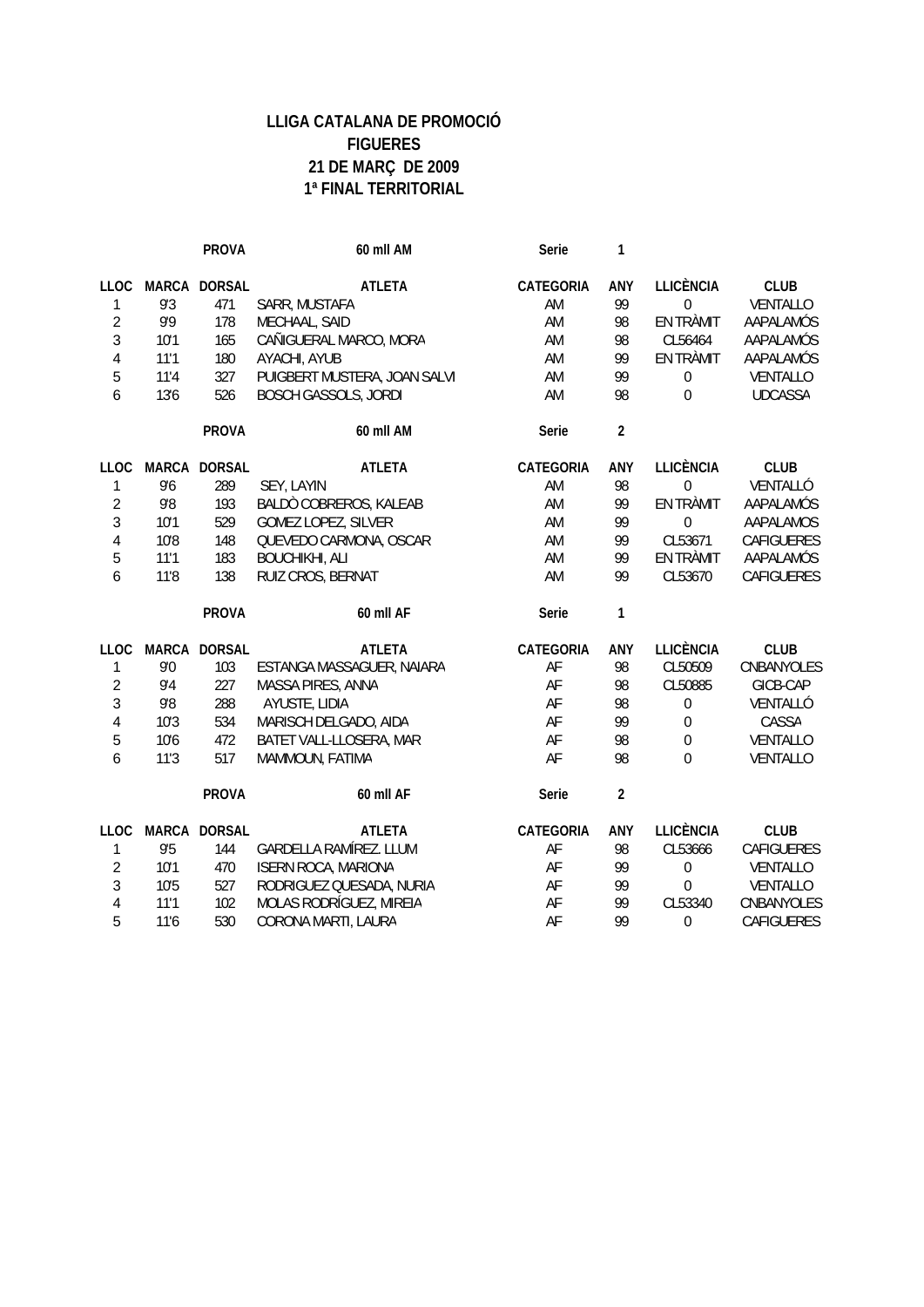|                |              | <b>PROVA</b>  | 60 mll AM                     | Serie     | 1                       |                  |                |
|----------------|--------------|---------------|-------------------------------|-----------|-------------------------|------------------|----------------|
| LLOC           | <b>MARCA</b> | <b>DORSAL</b> | <b>ATLETA</b>                 | CATEGORIA | ANY                     | <b>LLICÈNCIA</b> | <b>CLUB</b>    |
| 1              | 9'3          | 471           | SARR, MUSTAFA                 | AM        | 99                      | $\mathbf 0$      | VENTALLO       |
| $\overline{2}$ | 9'9          | 178           | MECHAAL, SAID                 | AM        | 98                      | EN TRÀMIT        | AAPALAMÓS      |
| 3              | 10'1         | 165           | CAÑIGUERAL MARCO, MORA        | AM        | 98                      | CL56464          | AAPALAMÓS      |
| $\overline{4}$ | 11'1         | 180           | AYACHI, AYUB                  | AM        | 99                      | EN TRÀMIT        | AAPALAMÓS      |
| 5              | 11'4         | 327           | PUIGBERT MUSTERA, JOAN SALVI  | AM        | 99                      | $\boldsymbol{0}$ | VENTALLO       |
| 6              | 13'6         | 526           | <b>BOSCH GASSOLS, JORDI</b>   | AM        | 98                      | $\Omega$         | <b>UDCASSA</b> |
|                |              | <b>PROVA</b>  | 60 mll AM                     | Serie     | $\overline{2}$          |                  |                |
| <b>LLOC</b>    | <b>MARCA</b> | <b>DORSAL</b> | <b>ATLETA</b>                 | CATEGORIA | ANY                     | <b>LLICÈNCIA</b> | <b>CLUB</b>    |
| 1              | 9'6          | 289           | SEY, LAYIN                    | AM        | 98                      | $\mathbf{0}$     | VENTALLÓ       |
| $\overline{2}$ | $9.8$        | 193           | BALDÒ COBREROS, KALEAB        | AM        | 99                      | <b>EN TRÀMIT</b> | AAPALAMÓS      |
| 3              | 10'1         | 529           | GOMEZ LOPEZ, SILVER           | AM        | 99                      | $\mathbf 0$      | AAPALAMOS      |
| $\overline{4}$ | 10'8         | 148           | QUEVEDO CARMONA, OSCAR        | AM        | 99                      | CL53671          | CAFIGUERES     |
| 5              | 11'1         | 183           | <b>BOUCHIKHI, ALI</b>         | AM        | 99                      | EN TRÀMIT        | AAPALAMÓS      |
| 6              | 11'8         | 138           | RUIZ CROS, BERNAT             | AM        | 99                      | CL53670          | CAFIGUERES     |
|                |              | <b>PROVA</b>  | 60 mll AF                     | Serie     | 1                       |                  |                |
| <b>LLOC</b>    |              | MARCA DORSAL  | <b>ATLETA</b>                 | CATEGORIA | ANY                     | <b>LLICÈNCIA</b> | <b>CLUB</b>    |
| 1              | 9'0          | 103           | ESTANGA MASSAGUER, NAIARA     | AF        | 98                      | CL50509          | CNBANYOLES     |
| $\overline{2}$ | 9'4          | 227           | MASSA PIRES, ANNA             | AF        | 98                      | CL50885          | GICB-CAP       |
| 3              | 9'8          | 288           | AYUSTE, LIDIA                 | AF        | 98                      | $\boldsymbol{0}$ | VENTALLÓ       |
| $\overline{4}$ | 10'3         | 534           | MARISCH DELGADO, AIDA         | AF        | 99                      | $\boldsymbol{0}$ | CASSA          |
| 5              | 10'6         | 472           | BATET VALL-LLOSERA, MAR       | AF        | 98                      | $\boldsymbol{0}$ | VENTALLO       |
| 6              | 11'3         | 517           | MAMMOUN, FATIMA               | AF        | 98                      | $\theta$         | VENTALLO       |
|                |              | <b>PROVA</b>  | 60 mll AF                     | Serie     | $\overline{\mathbf{c}}$ |                  |                |
| LLOC           |              | MARCA DORSAL  | <b>ATLETA</b>                 | CATEGORIA | ANY                     | <b>LLICÈNCIA</b> | <b>CLUB</b>    |
| $\mathbf{1}$   | 9'5          | 144           | <b>GARDELLA RAMÍREZ. LLUM</b> | AF        | 98                      | CL53666          | CAFIGUERES     |
| $\overline{2}$ | 10'1         | 470           | <b>ISERN ROCA, MARIONA</b>    | AF        | 99                      | $\boldsymbol{0}$ | VENTALLO       |
| $\mathfrak{Z}$ | 10'5         | 527           | RODRIGUEZ QUESADA, NURIA      | AF        | 99                      | $\overline{0}$   | VENTALLO       |
| $\overline{4}$ | 11'1         | 102           | MOLAS RODRÍGUEZ, MIREIA       | AF        | 99                      | CL53340          | CNBANYOLES     |
| 5              | 11'6         | 530           | CORONA MARTI, LAURA           | AF        | 99                      | 0                | CAFIGUERES     |
|                |              |               |                               |           |                         |                  |                |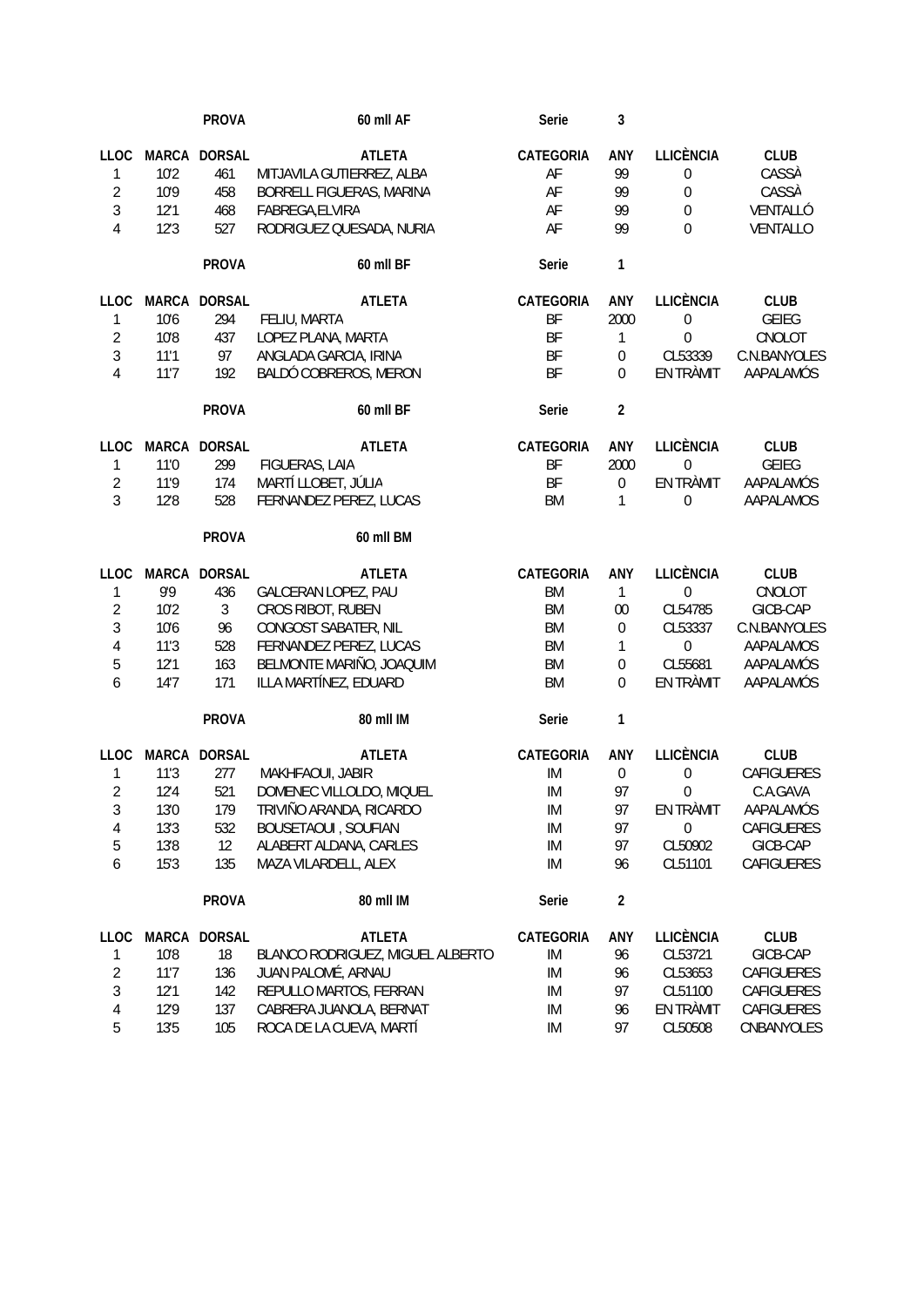|                          |              | <b>PROVA</b>   | 60 mll AF                        | Serie            | 3                |                  |              |
|--------------------------|--------------|----------------|----------------------------------|------------------|------------------|------------------|--------------|
| <b>LLOC</b>              | <b>MARCA</b> | <b>DORSAL</b>  | <b>ATLETA</b>                    | <b>CATEGORIA</b> | ANY              | <b>LLICÈNCIA</b> | <b>CLUB</b>  |
| $\mathbbm{1}$            | 10'2         | 461            | MITJAVILA GUTIERREZ, ALBA        | AF               | 99               | $\boldsymbol{0}$ | CASSÀ        |
| $\overline{2}$           | 10'9         | 458            | BORRELL FIGUERAS, MARINA         | AF               | 99               | $\boldsymbol{0}$ | CASSÀ        |
| 3                        | 12'1         | 468            | FABREGA, ELVIRA                  | AF               | 99               | $\mathbf{0}$     | VENTALLÓ     |
| 4                        | 12'3         | 527            | RODRIGUEZ QUESADA, NURIA         | AF               | 99               | $\Omega$         | VENTALLO     |
|                          |              | <b>PROVA</b>   | 60 mll BF                        | Serie            | 1                |                  |              |
| <b>LLOC</b>              |              | MARCA DORSAL   | <b>ATLETA</b>                    | <b>CATEGORIA</b> | ANY              | <b>LLICÈNCIA</b> | <b>CLUB</b>  |
| 1                        | 10'6         | 294            | FELIU, MARTA                     | BF               | 2000             | $\boldsymbol{0}$ | <b>GEIEG</b> |
| $\overline{2}$           | 10'8         | 437            | LOPEZ PLANA, MARTA               | BF               | 1                | $\mathbf{0}$     | CNOLOT       |
| $\mathfrak{Z}$           | 11'1         | 97             | ANGLADA GARCIA, IRINA            | BF               | $\boldsymbol{0}$ | CL53339          | C.N.BANYOLES |
| $\overline{4}$           | 11'7         | 192            | BALDÓ COBREROS, MERON            | BF               | 0                | EN TRÀMIT        | AAPALAMÓS    |
|                          |              | <b>PROVA</b>   | 60 mll BF                        | Serie            | $\overline{2}$   |                  |              |
| <b>LLOC</b>              |              | MARCA DORSAL   | <b>ATLETA</b>                    | CATEGORIA        | ANY              | <b>LLICÈNCIA</b> | <b>CLUB</b>  |
| $\mathbbm{1}$            | 11'0         | 299            | FIGUERAS, LAIA                   | BF               | 2000             | $\mathbf 0$      | <b>GEIEG</b> |
| $\overline{2}$           | 11'9         | 174            | MARTÍ LLOBET, JÚLIA              | BF               | $\boldsymbol{0}$ | EN TRÀMIT        | AAPALAMÓS    |
| $\mathfrak{Z}$           | 12'8         | 528            | FERNANDEZ PEREZ, LUCAS           | <b>BM</b>        | 1                | $\mathbf{0}$     | AAPALAMOS    |
|                          |              | <b>PROVA</b>   | 60 mll BM                        |                  |                  |                  |              |
| <b>LLOC</b>              |              | MARCA DORSAL   | <b>ATLETA</b>                    | CATEGORIA        | ANY              | <b>LLICÈNCIA</b> | <b>CLUB</b>  |
| 1                        | 9'9          | 436            | GALCERAN LOPEZ, PAU              | <b>BM</b>        | $\mathbf{1}$     | $\mathbf{0}$     | CNOLOT       |
| $\overline{2}$           | 10'2         | $\mathfrak{Z}$ | CROS RIBOT, RUBEN                | <b>BM</b>        | 00               | CL54785          | GICB-CAP     |
| $\mathfrak{Z}$           | 10'6         | 96             | CONGOST SABATER, NIL             | <b>BM</b>        | $\boldsymbol{0}$ | CL53337          | C.N.BANYOLES |
| 4                        | 11'3         | 528            | FERNANDEZ PEREZ, LUCAS           | <b>BM</b>        | 1                | $\mathbf{0}$     | AAPALAMOS    |
| $\sqrt{5}$               | 12'1         | 163            | BELMONTE MARIÑO, JOAQUIM         | <b>BM</b>        | $\boldsymbol{0}$ | CL55681          | AAPALAMÓS    |
| 6                        | 14'7         | 171            | ILLA MARTÍNEZ, EDUARD            | <b>BM</b>        | 0                | EN TRÀMIT        | AAPALAMÓS    |
|                          |              | <b>PROVA</b>   | 80 mll IM                        | Serie            | $\mathbf{1}$     |                  |              |
| <b>LLOC</b>              |              | MARCA DORSAL   | <b>ATLETA</b>                    | CATEGORIA        | ANY              | <b>LLICÈNCIA</b> | <b>CLUB</b>  |
| 1                        | 11'3         | 277            | MAKHFAOUI, JABIR                 | IM               | $\boldsymbol{0}$ | $\mathbf{0}$     | CAFIGUERES   |
| $\overline{2}$           | 12'4         | 521            | DOMENEC VILLOLDO, MIQUEL         | IM               | 97               | 0                | C.A.GAVA     |
| $\sqrt{3}$               | 13'0         | 179            | TRIVIÑO ARANDA, RICARDO          | ${\sf IM}$       | 97               | EN TRÀMIT        | AAPALAMÓS    |
| 4                        | 13'3         | 532            | <b>BOUSETAOUI, SOUFIAN</b>       | IM               | 97               | $\boldsymbol{0}$ | CAFIGUERES   |
| 5                        | 13'8         | 12             | ALABERT ALDANA, CARLES           | IM               | 97               | CL50902          | GICB-CAP     |
| $\boldsymbol{6}$         | 15'3         | 135            | MAZA VILARDELL, ALEX             | IM               | 96               | CL51101          | CAFIGUERES   |
|                          |              | <b>PROVA</b>   | 80 mll IM                        | Serie            | $\mathbf{2}$     |                  |              |
| LLOC                     | MARCA        | <b>DORSAL</b>  | <b>ATLETA</b>                    | CATEGORIA        | ANY              | <b>LLICÈNCIA</b> | <b>CLUB</b>  |
| 1                        | 10'8         | 18             | BLANCO RODRIGUEZ, MIGUEL ALBERTO | IM               | 96               | CL53721          | GICB-CAP     |
| $\overline{2}$           | 11'7         | 136            | JUAN PALOMÉ, ARNAU               | IM               | 96               | CL53653          | CAFIGUERES   |
| $\sqrt{3}$               | 12'1         | 142            | REPULLO MARTOS, FERRAN           | IM               | 97               | CL51100          | CAFIGUERES   |
| $\overline{\mathcal{A}}$ | 12'9         | 137            | CABRERA JUANOLA, BERNAT          | IM               | 96               | EN TRÀMIT        | CAFIGUERES   |
| 5                        | 13'5         | 105            | ROCA DE LA CUEVA, MARTÍ          | IM               | 97               | CL50508          | CNBANYOLES   |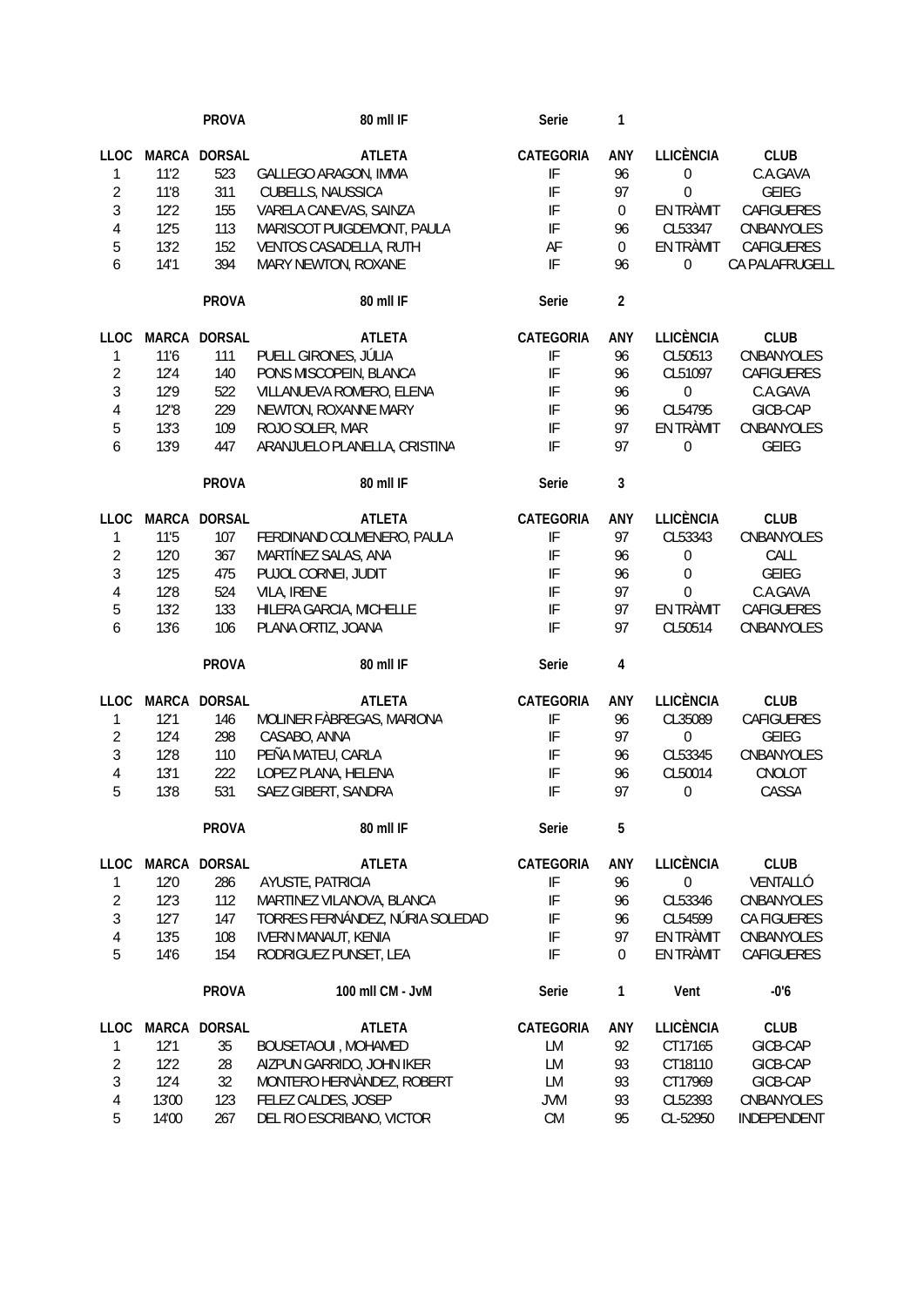|                |              | <b>PROVA</b>  | 80 mll IF                       | Serie                      | 1                       |                  |                |
|----------------|--------------|---------------|---------------------------------|----------------------------|-------------------------|------------------|----------------|
| <b>LLOC</b>    | <b>MARCA</b> | <b>DORSAL</b> | <b>ATLETA</b>                   | CATEGORIA                  | ANY                     | <b>LLICÈNCIA</b> | <b>CLUB</b>    |
| 1              | 11'2         | 523           | GALLEGO ARAGON, IMMA            | IF                         | 96                      | $\boldsymbol{0}$ | C.A.GAVA       |
| $\overline{2}$ | 11'8         | 311           | CUBELLS, NAUSSICA               | IF                         | 97                      | $\mathbf 0$      | <b>GEIEG</b>   |
| 3              | 12'2         | 155           | VARELA CANEVAS, SAINZA          | IF                         | $\mathbf 0$             | EN TRÀMIT        | CAFIGUERES     |
| $\overline{4}$ | 12'5         | 113           | MARISCOT PUIGDEMONT, PAULA      | IF                         | 96                      | CL53347          | CNBANYOLES     |
| 5              | 13'2         | 152           | VENTOS CASADELLA, RUTH          | AF                         | $\mathbf 0$             | EN TRÀMIT        | CAFIGUERES     |
| 6              | 14'1         | 394           | MARY NEWTON, ROXANE             | IF                         | 96                      | 0                | CA PALAFRUGELL |
|                |              |               |                                 |                            |                         |                  |                |
|                |              | <b>PROVA</b>  | 80 mll IF                       | Serie                      | $\overline{2}$          |                  |                |
| <b>LLOC</b>    | <b>MARCA</b> | <b>DORSAL</b> | <b>ATLETA</b>                   | <b>CATEGORIA</b>           | ANY                     | <b>LLICÈNCIA</b> | <b>CLUB</b>    |
| 1              | 11'6         | 111           | PUELL GIRONES, JÚLIA            | IF                         | 96                      | CL50513          | CNBANYOLES     |
| $\overline{2}$ | 12'4         | 140           | PONS MISCOPEIN, BLANCA          | IF                         | 96                      | CL51097          | CAFIGUERES     |
| 3              | 12'9         | 522           | VILLANUEVA ROMERO, ELENA        | IF                         | 96                      | $\boldsymbol{0}$ | C.A.GAVA       |
| $\overline{4}$ | 12"8         | 229           | NEWTON, ROXANNE MARY            | IF                         | 96                      | CL54795          | GICB-CAP       |
| 5              | 13'3         | 109           | ROJO SOLER, MAR                 | IF                         | 97                      | EN TRÀMIT        | CNBANYOLES     |
| 6              | 13'9         | 447           | ARANJUELO PLANELLA, CRISTINA    | $\ensuremath{\mathsf{IF}}$ | 97                      | $\boldsymbol{0}$ | <b>GEIEG</b>   |
|                |              | <b>PROVA</b>  | 80 mll IF                       | Serie                      | 3                       |                  |                |
|                |              | <b>DORSAL</b> |                                 |                            |                         |                  |                |
| <b>LLOC</b>    | MARCA        |               | <b>ATLETA</b>                   | CATEGORIA                  | ANY                     | <b>LLICÈNCIA</b> | <b>CLUB</b>    |
| 1              | 11'5         | 107           | FERDINAND COLMENERO, PAULA      | IF                         | 97                      | CL53343          | CNBANYOLES     |
| $\overline{2}$ | 12'0         | 367           | MARTÍNEZ SALAS, ANA             | IF                         | 96                      | $\boldsymbol{0}$ | CALL           |
| 3              | 12'5         | 475           | PUJOL CORNEI, JUDIT             | IF                         | 96                      | $\boldsymbol{0}$ | <b>GEIEG</b>   |
| $\overline{4}$ | 12'8         | 524           | VILA, IRENE                     | IF                         | 97                      | 0                | C.A.GAVA       |
| 5              | 13'2         | 133           | HILERA GARCIA, MICHELLE         | IF                         | 97                      | EN TRÀMIT        | CAFIGUERES     |
| 6              | 13'6         | 106           | PLANA ORTIZ, JOANA              | IF                         | 97                      | CL50514          | CNBANYOLES     |
|                |              | <b>PROVA</b>  | 80 mll IF                       | Serie                      | $\overline{\mathbf{4}}$ |                  |                |
| <b>LLOC</b>    |              | MARCA DORSAL  | <b>ATLETA</b>                   | CATEGORIA                  | ANY                     | <b>LLICÈNCIA</b> | <b>CLUB</b>    |
| 1              | 12'1         | 146           | MOLINER FÀBREGAS, MARIONA       | IF                         | 96                      | CL35089          | CAFIGUERES     |
| $\overline{2}$ | 12'4         | 298           | CASABO, ANNA                    | IF                         | 97                      | $\boldsymbol{0}$ | <b>GEIEG</b>   |
| 3              | 12'8         | 110           | PEÑA MATEU, CARLA               | IF                         | 96                      | CL53345          | CNBANYOLES     |
| $\overline{4}$ | 13'1         | 222           | LOPEZ PLANA, HELENA             | IF                         | 96                      | CL50014          | CNOLOT         |
| 5              | 13'8         | 531           | SAEZ GIBERT, SANDRA             | IF                         | 97                      | $\boldsymbol{0}$ | CASSA          |
|                |              | <b>PROVA</b>  | 80 mll IF                       | Serie                      | 5                       |                  |                |
|                |              |               |                                 |                            |                         |                  |                |
| <b>LLOC</b>    |              | MARCA DORSAL  | <b>ATLETA</b>                   | CATEGORIA                  | ANY                     | <b>LLICÈNCIA</b> | <b>CLUB</b>    |
| 1              | 12'0         | 286           | AYUSTE, PATRICIA                | IF                         | 96                      | $\boldsymbol{0}$ | VENTALLÓ       |
| $\overline{2}$ | 12'3         | 112           | MARTINEZ VILANOVA, BLANCA       | IF                         | 96                      | CL53346          | CNBANYOLES     |
| 3              | 12'7         | 147           | TORRES FERNÁNDEZ, NÚRIA SOLEDAD | IF                         | 96                      | CL54599          | CA FIGUERES    |
| $\overline{4}$ | 13'5         | 108           | <b>IVERN MANAUT, KENIA</b>      | IF                         | 97                      | EN TRÀMIT        | CNBANYOLES     |
| 5              | 14'6         | 154           | RODRIGUEZ PUNSET, LEA           | IF                         | $\mathbf{0}$            | EN TRÀMIT        | CAFIGUERES     |
|                |              | <b>PROVA</b>  | 100 mll CM - JvM                | Serie                      | 1                       | Vent             | $-0'6$         |
| <b>LLOC</b>    |              | MARCA DORSAL  | <b>ATLETA</b>                   | CATEGORIA                  | ANY                     | <b>LLICÈNCIA</b> | <b>CLUB</b>    |
| 1              | 12'1         | 35            | BOUSETAOUI, MOHAMED             | LM                         | 92                      | CT17165          | GICB-CAP       |
| $\overline{2}$ | 12'2         | 28            | AIZPUN GARRIDO, JOHN IKER       | LM                         | 93                      | CT18110          | GICB-CAP       |
| 3              | 12'4         | 32            | MONTERO HERNÀNDEZ, ROBERT       | LM                         | 93                      | CT17969          | GICB-CAP       |
| $\overline{4}$ | 13'00        | 123           | FELEZ CALDES, JOSEP             | <b>JVM</b>                 | 93                      | CL52393          | CNBANYOLES     |
| 5              | 14'00        | 267           | DEL RIO ESCRIBANO, VICTOR       | CM                         | 95                      | CL-52950         | INDEPENDENT    |
|                |              |               |                                 |                            |                         |                  |                |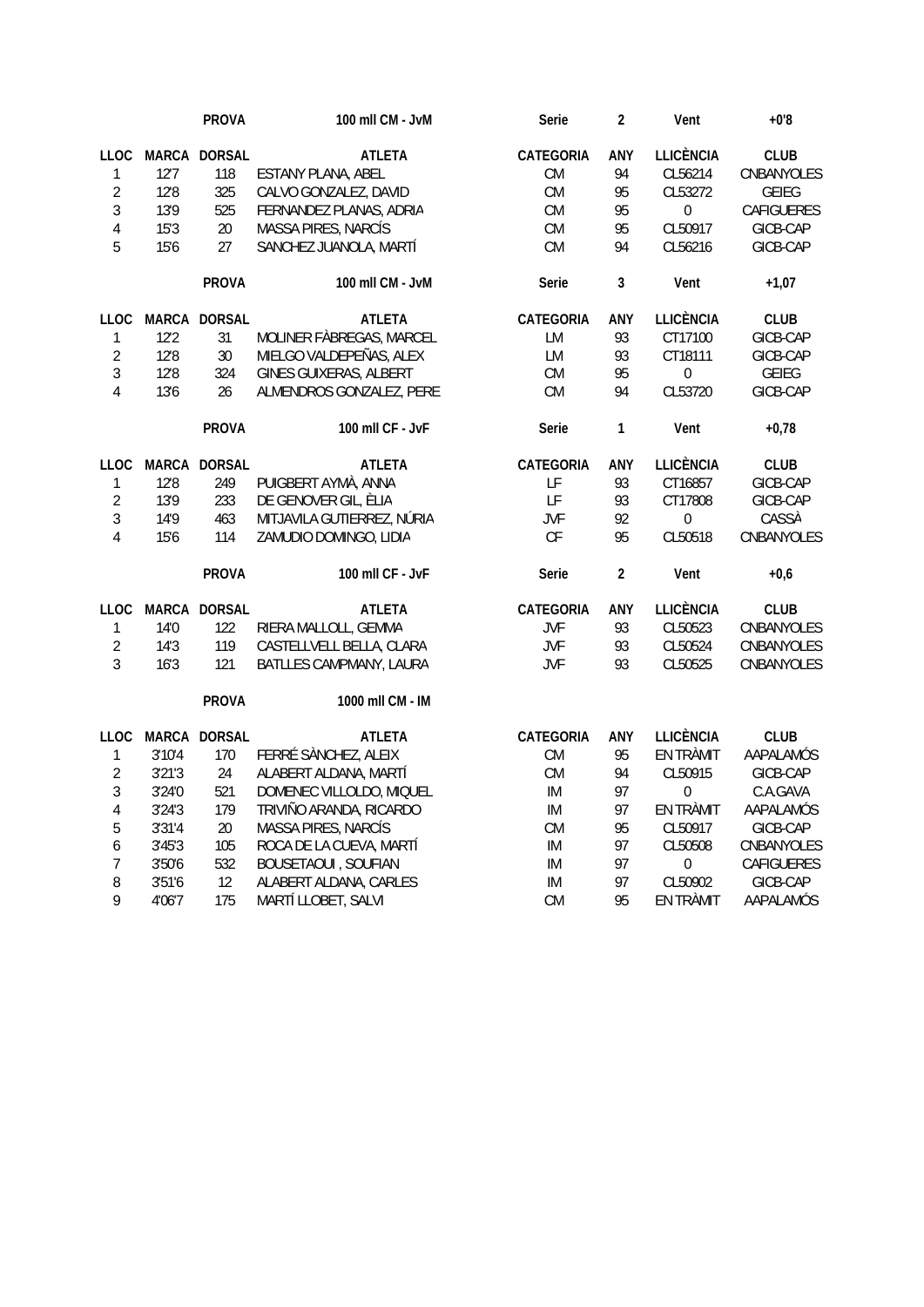|                |        | <b>PROVA</b> | 100 mll CM - JvM              | Serie      | $\overline{2}$ | Vent             | $+0.8$       |
|----------------|--------|--------------|-------------------------------|------------|----------------|------------------|--------------|
| <b>LLOC</b>    |        | MARCA DORSAL | <b>ATLETA</b>                 | CATEGORIA  | ANY            | <b>LLICÈNCIA</b> | <b>CLUB</b>  |
| $\mathbf{1}$   | 12'7   | 118          | ESTANY PLANA, ABEL            | <b>CM</b>  | 94             | CL56214          | CNBANYOLES   |
| $\overline{2}$ | 12'8   | 325          | CALVO GONZALEZ, DAVID         | CM         | 95             | CL53272          | <b>GEIEG</b> |
| $\mathfrak{Z}$ | 13'9   | 525          | FERNANDEZ PLANAS, ADRIA       | CM         | 95             | $\mathbf 0$      | CAFIGUERES   |
| $\overline{4}$ | 15'3   | 20           | MASSA PIRES, NARCÍS           | <b>CM</b>  | 95             | CL50917          | GICB-CAP     |
| 5              | 15'6   | 27           | SANCHEZ JUANOLA, MARTÍ        | CM         | 94             | CL56216          | GICB-CAP     |
|                |        | <b>PROVA</b> | 100 mll CM - JvM              | Serie      | 3              | Vent             | $+1,07$      |
| <b>LLOC</b>    |        | MARCA DORSAL | <b>ATLETA</b>                 | CATEGORIA  | ANY            | <b>LLICÈNCIA</b> | <b>CLUB</b>  |
| $\mathbf{1}$   | 12'2   | 31           | MOLINER FÀBREGAS, MARCEL      | LM         | 93             | CT17100          | GICB-CAP     |
| $\overline{2}$ | 12'8   | 30           | MIELGO VALDEPEÑAS, ALEX       | LM         | 93             | CT18111          | GICB-CAP     |
| $\mathfrak{Z}$ | 12'8   | 324          | <b>GINES GUIXERAS, ALBERT</b> | CM         | 95             | $\mathbf 0$      | <b>GEIEG</b> |
| $\overline{4}$ | 13'6   | 26           | ALMENDROS GONZALEZ, PERE      | <b>CM</b>  | 94             | CL53720          | GICB-CAP     |
|                |        | <b>PROVA</b> | 100 mll CF - JvF              | Serie      | $\mathbf{1}$   | Vent             | $+0,78$      |
| LLOC           |        | MARCA DORSAL | <b>ATLETA</b>                 | CATEGORIA  | ANY            | <b>LLICÈNCIA</b> | <b>CLUB</b>  |
| $\mathbbm{1}$  | 12'8   | 249          | PUIGBERT AYMÀ, ANNA           | LF         | 93             | CT16857          | GICB-CAP     |
| $\overline{2}$ | 13'9   | 233          | DE GENOVER GIL, ÈLIA          | LF         | 93             | CT17808          | GICB-CAP     |
| $\mathfrak{Z}$ | 14'9   | 463          | MITJAVILA GUTIERREZ, NÚRIA    | <b>JVF</b> | 92             | $\boldsymbol{0}$ | CASSÀ        |
| $\overline{4}$ | 15'6   | 114          | ZAMUDIO DOMINGO, LIDIA        | CF         | 95             | CL50518          | CNBANYOLES   |
|                |        | <b>PROVA</b> | 100 mll CF - JvF              | Serie      | $\overline{2}$ | Vent             | $+0,6$       |
| LLOC           |        | MARCA DORSAL | <b>ATLETA</b>                 | CATEGORIA  | ANY            | <b>LLICÈNCIA</b> | <b>CLUB</b>  |
| 1              | 14'0   | 122          | RIERA MALLOLL, GEMMA          | JVF        | 93             | CL50523          | CNBANYOLES   |
| $\overline{2}$ | 14'3   | 119          | CASTELLVELL BELLA, CLARA      | <b>JVF</b> | 93             | CL50524          | CNBANYOLES   |
| $\mathfrak{Z}$ | 16'3   | 121          | BATLLES CAMPMANY, LAURA       | <b>JVF</b> | 93             | CL50525          | CNBANYOLES   |
|                |        | <b>PROVA</b> | 1000 mll CM - IM              |            |                |                  |              |
| <b>LLOC</b>    |        | MARCA DORSAL | <b>ATLETA</b>                 | CATEGORIA  | ANY            | <b>LLICÈNCIA</b> | <b>CLUB</b>  |
| $\mathbf{1}$   | 3'10'4 | 170          | FERRÉ SÀNCHEZ, ALEIX          | CM         | 95             | EN TRÀMIT        | AAPALAMÓS    |
| $\overline{2}$ | 3'21'3 | 24           | ALABERT ALDANA, MARTÍ         | <b>CM</b>  | 94             | CL50915          | GICB-CAP     |
| $\mathfrak{Z}$ | 3'24'0 | 521          | DOMENEC VILLOLDO, MIQUEL      | IM         | 97             | $\boldsymbol{0}$ | C.A.GAVA     |
| $\sqrt{4}$     | 3'24'3 | 179          | TRIVIÑO ARANDA, RICARDO       | IM         | 97             | EN TRÀMIT        | AAPALAMÓS    |
| 5              | 3'31'4 | 20           | MASSA PIRES, NARCÍS           | <b>CM</b>  | 95             | CL50917          | GICB-CAP     |
| 6              | 3'45'3 | 105          | ROCA DE LA CUEVA, MARTÍ       | IM         | 97             | CL50508          | CNBANYOLES   |
| $\overline{7}$ | 3'50'6 | 532          | <b>BOUSETAOUI, SOUFIAN</b>    | IM         | 97             | $\boldsymbol{0}$ | CAFIGUERES   |
| 8              | 3'51'6 | 12           | ALABERT ALDANA, CARLES        | IM         | 97             | CL50902          | GICB-CAP     |
| 9              | 4'06'7 | 175          | MARTÍ LLOBET, SALVI           | <b>CM</b>  | 95             | EN TRÀMIT        | AAPALAMÓS    |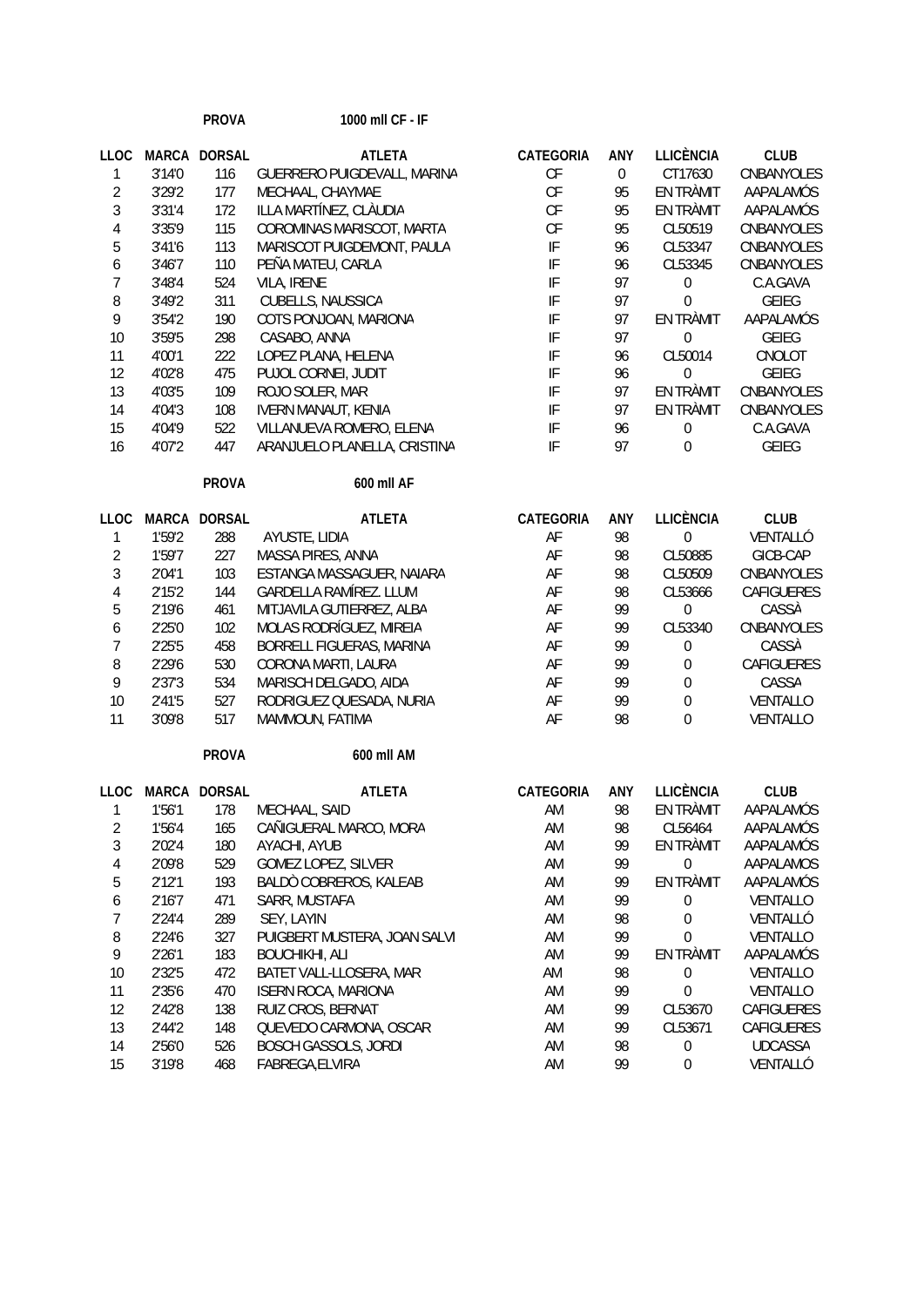|                          |              | <b>PROVA</b>      | 1000 mll CF - IF             |                            |                  |                  |                |
|--------------------------|--------------|-------------------|------------------------------|----------------------------|------------------|------------------|----------------|
| <b>LLOC</b>              | <b>MARCA</b> | <b>DORSAL</b>     | <b>ATLETA</b>                | CATEGORIA                  | ANY              | <b>LLICÈNCIA</b> | <b>CLUB</b>    |
| 1                        | 3'14'0       | 116               | GUERRERO PUIGDEVALL, MARINA  | CF                         | $\boldsymbol{0}$ | CT17630          | CNBANYOLES     |
| $\overline{c}$           | 3'29'2       | 177               | MECHAAL, CHAYMAE             | CF                         | 95               | EN TRÀMIT        | AAPALAMÓS      |
| 3                        | 3'31'4       | 172               | ILLA MARTÍNEZ, CLÀUDIA       | CF                         | 95               | EN TRÀMIT        | AAPALAMÓS      |
| $\overline{4}$           | 3'35'9       | 115               | COROMINAS MARISCOT, MARTA    | $\mathsf{C}\mathsf{F}$     | 95               | CL50519          | CNBANYOLES     |
| 5                        | 3'41'6       | 113               | MARISCOT PUIGDEMONT, PAULA   | IF                         | 96               | CL53347          | CNBANYOLES     |
| 6                        | 3'46'7       | 110               | PEÑA MATEU, CARLA            | $\ensuremath{\mathsf{IF}}$ | 96               | CL53345          | CNBANYOLES     |
| $\overline{7}$           | 3'48'4       | 524               | VILA, IRENE                  | IF                         | 97               | $\boldsymbol{0}$ | C.A.GAVA       |
| 8                        | 3'49'2       | 311               | CUBELLS, NAUSSICA            | IF                         | 97               | $\mathbf{0}$     | <b>GEIEG</b>   |
| 9                        | 3'54'2       | 190               | COTS PONJOAN, MARIONA        | IF                         | 97               | EN TRÀMIT        | AAPALAMÓS      |
| 10                       | 3'59'5       | 298               | CASABO, ANNA                 | IF                         | 97               | $\boldsymbol{0}$ | <b>GEIEG</b>   |
| 11                       | 4'00'1       | 222               | LOPEZ PLANA, HELENA          | IF                         | 96               | CL50014          | CNOLOT         |
| 12                       | 4'02'8       | 475               | PUJOL CORNEI, JUDIT          | IF                         | 96               | $\boldsymbol{0}$ | <b>GEIEG</b>   |
| 13                       | 4'03'5       | 109               | ROJO SOLER, MAR              | IF                         | 97               | EN TRÀMIT        | CNBANYOLES     |
| 14                       | 4'04'3       | 108               | <b>IVERN MANAUT, KENIA</b>   | IF                         | 97               | EN TRÀMIT        | CNBANYOLES     |
| 15                       | 4'04'9       | 522               | VILLANUEVA ROMERO, ELENA     | IF                         | 96               | $\boldsymbol{0}$ | C.A.GAVA       |
| 16                       | 4'07'2       | 447               | ARANJUELO PLANELLA, CRISTINA | IF                         | 97               | $\Omega$         | <b>GEIEG</b>   |
|                          |              | <b>PROVA</b>      | 600 mll AF                   |                            |                  |                  |                |
| <b>LLOC</b>              |              | MARCA DORSAL      | <b>ATLETA</b>                | CATEGORIA                  | ANY              | <b>LLICÈNCIA</b> | <b>CLUB</b>    |
| 1                        | 1'59'2       | 288               | AYUSTE, LIDIA                | AF                         | 98               | $\boldsymbol{0}$ | VENTALLÓ       |
| $\overline{2}$           | 1'59'7       | 227               | MASSA PIRES, ANNA            | AF                         | 98               | CL50885          | GICB-CAP       |
| 3                        | 2'04'1       | 103               | ESTANGA MASSAGUER, NAIARA    | AF                         | 98               | CL50509          | CNBANYOLES     |
| $\overline{4}$           | 2'15'2       | 144               | GARDELLA RAMÍREZ. LLUM       | AF                         | 98               | CL53666          | CAFIGUERES     |
| 5                        | 2'19'6       | 461               | MITJAVILA GUTIERREZ, ALBA    | AF                         | 99               | $\boldsymbol{0}$ | CASSÀ          |
| 6                        | 2'25'0       | 102               | MOLAS RODRÍGUEZ, MIREIA      | AF                         | 99               | CL53340          | CNBANYOLES     |
| $\overline{7}$           | 2'25'5       | 458               | BORRELL FIGUERAS, MARINA     | AF                         | 99               | $\boldsymbol{0}$ | CASSÀ          |
| 8                        | 2'29'6       | 530               | CORONA MARTI, LAURA          | AF                         | 99               | $\boldsymbol{0}$ | CAFIGUERES     |
| 9                        | 2'37'3       | 534               | MARISCH DELGADO, AIDA        | AF                         | 99               | $\boldsymbol{0}$ | CASSA          |
| 10                       | 2'41'5       | 527               | RODRIGUEZ QUESADA, NURIA     | AF                         | 99               | $\boldsymbol{0}$ | VENTALLO       |
| 11                       | 3'09'8       | 517               | MAMMOUN, FATIMA              | AF                         | 98               | $\mathbf 0$      | VENTALLO       |
|                          |              | <b>PROVA</b>      | 600 mll AM                   |                            |                  |                  |                |
|                          |              | LLOC MARCA DORSAL | <b>ATLETA</b>                | CATEGORIA                  | ANY              | <b>LLICÈNCIA</b> | <b>CLUB</b>    |
| 1                        | 1'56'1       | 178               | MECHAAL, SAID                | AM                         | 98               | EN TRÀMIT        | AAPALAMÓS      |
| $\overline{\mathbf{c}}$  | 1'56'4       | 165               | CAÑIGUERAL MARCO, MORA       | AM                         | 98               | CL56464          | AAPALAMÓS      |
| 3                        | 2'02'4       | 180               | AYACHI, AYUB                 | AM                         | 99               | EN TRÀMIT        | AAPALAMÓS      |
| $\overline{\mathcal{A}}$ | 2'09'8       | 529               | GOMEZ LOPEZ, SILVER          | AM                         | 99               | $\boldsymbol{0}$ | AAPALAMOS      |
| 5                        | 2'12'1       | 193               | BALDO COBREROS, KALEAB       | AM                         | 99               | EN TRÀMIT        | AAPALAMÓS      |
| 6                        | 2'16'7       | 471               | SARR, MUSTAFA                | AM                         | 99               | 0                | VENTALLO       |
| $\overline{7}$           | 2'24'4       | 289               | SEY, LAYIN                   | AM                         | 98               | $\boldsymbol{0}$ | VENTALLÓ       |
| 8                        | 2'24'6       | 327               | PUIGBERT MUSTERA, JOAN SALVI | AM                         | 99               | $\boldsymbol{0}$ | VENTALLO       |
| 9                        | 2'26'1       | 183               | <b>BOUCHIKHI, ALI</b>        | AM                         | 99               | EN TRÀMIT        | AAPALAMÓS      |
| 10                       | 2'32'5       | 472               | BATET VALL-LLOSERA, MAR      | AM                         | 98               | $\boldsymbol{0}$ | VENTALLO       |
| 11                       | 2'35'6       | 470               | <b>ISERN ROCA, MARIONA</b>   | AM                         | 99               | 0                | VENTALLO       |
| 12                       | 2'42'8       | 138               | RUIZ CROS, BERNAT            | AM                         | 99               | CL53670          | CAFIGUERES     |
| 13                       | 2'44'2       | 148               | QUEVEDO CARMONA, OSCAR       | AM                         | 99               | CL53671          | CAFIGUERES     |
| 14                       | 2'56'0       | 526               | <b>BOSCH GASSOLS, JORDI</b>  | AM                         | 98               | 0                | <b>UDCASSA</b> |
| 15                       | 3'19'8       | 468               | FABREGA, ELVIRA              | AM                         | 99               | $\boldsymbol{0}$ | VENTALLÓ       |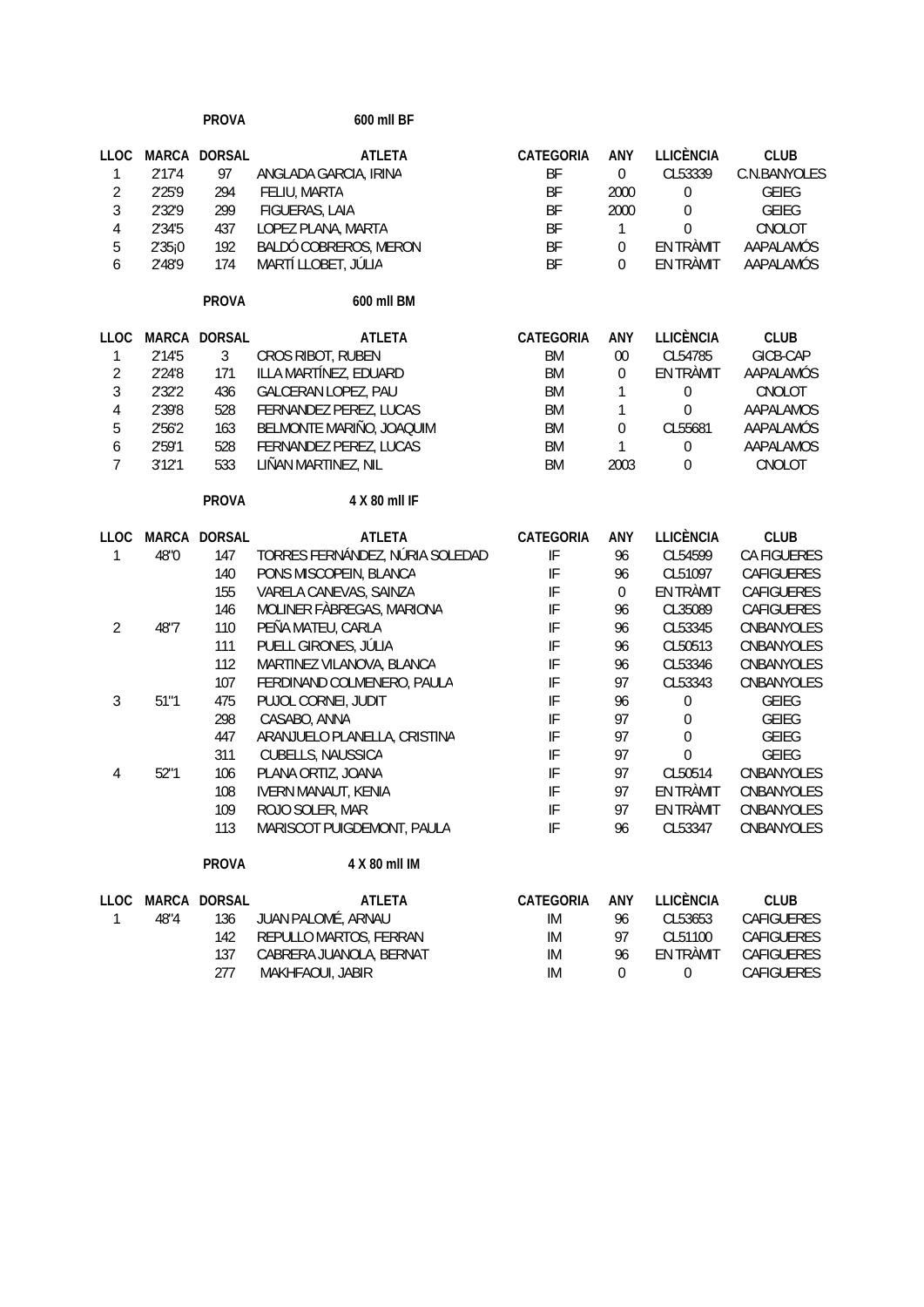|                  |        | <b>PROVA</b>       | 600 mll BF                             |                            |                    |                             |                             |
|------------------|--------|--------------------|----------------------------------------|----------------------------|--------------------|-----------------------------|-----------------------------|
| <b>LLOC</b><br>1 | 2'17'4 | MARCA DORSAL<br>97 | <b>ATLETA</b><br>ANGLADA GARCIA, IRINA | CATEGORIA<br>BF            | ANY<br>$\mathbf 0$ | <b>LLICÈNCIA</b><br>CL53339 | <b>CLUB</b><br>C.N.BANYOLES |
| $\overline{2}$   | 2'25'9 | 294                | FELIU, MARTA                           | BF                         | 2000               | $\boldsymbol{0}$            | <b>GEIEG</b>                |
| $\overline{3}$   | 2'32'9 | 299                | FIGUERAS, LAIA                         | BF                         | 2000               | $\boldsymbol{0}$            | <b>GEIEG</b>                |
| $\overline{4}$   | 2'34'5 | 437                | LOPEZ PLANA, MARTA                     | BF                         | $\mathbf{1}$       | $\mathbf 0$                 | CNOLOT                      |
| 5                | 2'35j0 | 192                | BALDÓ COBREROS, MERON                  | BF                         | $\boldsymbol{0}$   | EN TRÀMIT                   | AAPALAMÓS                   |
| 6                | 2'48'9 | 174                | MARTÍ LLOBET, JÚLIA                    | BF                         | $\mathbf 0$        | EN TRÀMIT                   | AAPALAMÓS                   |
|                  |        | <b>PROVA</b>       | 600 mll BM                             |                            |                    |                             |                             |
| <b>LLOC</b>      |        | MARCA DORSAL       | <b>ATLETA</b>                          | <b>CATEGORIA</b>           | ANY                | <b>LLICÈNCIA</b>            | <b>CLUB</b>                 |
| 1                | 2'14'5 | 3                  | CROS RIBOT, RUBEN                      | <b>BM</b>                  | $00\,$             | CL54785                     | GICB-CAP                    |
| $\overline{2}$   | 2'24'8 | 171                | ILLA MARTÍNEZ, EDUARD                  | <b>BM</b>                  | $\boldsymbol{0}$   | EN TRÀMIT                   | AAPALAMÓS                   |
| $\overline{3}$   | 2'32'2 | 436                | GALCERAN LOPEZ, PAU                    | <b>BM</b>                  | 1                  | $\boldsymbol{0}$            | CNOLOT                      |
| $\overline{4}$   | 2'39'8 | 528                | FERNANDEZ PEREZ, LUCAS                 | <b>BM</b>                  | $\mathbf{1}$       | $\boldsymbol{0}$            | AAPALAMOS                   |
| 5                | 2'56'2 | 163                | BELMONTE MARIÑO, JOAQUIM               | <b>BM</b>                  | $\boldsymbol{0}$   | CL55681                     | AAPALAMÓS                   |
| $\boldsymbol{6}$ | 2'59'1 | 528                | FERNANDEZ PEREZ, LUCAS                 | <b>BM</b>                  | $\mathbf{1}$       | 0                           | AAPALAMOS                   |
| $\overline{7}$   | 3'12'1 | 533                | LIÑAN MARTINEZ, NIL                    | <b>BM</b>                  | 2003               | 0                           | CNOLOT                      |
|                  |        | <b>PROVA</b>       | 4 X 80 mll IF                          |                            |                    |                             |                             |
| <b>LLOC</b>      |        | MARCA DORSAL       | <b>ATLETA</b>                          | CATEGORIA                  | ANY                | <b>LLICÈNCIA</b>            | <b>CLUB</b>                 |
| 1                | 48"0   | 147                | TORRES FERNÁNDEZ, NÚRIA SOLEDAD        | IF                         | 96                 | CL54599                     | CA FIGUERES                 |
|                  |        | 140                | PONS MISCOPEIN, BLANCA                 | IF                         | 96                 | CL51097                     | CAFIGUERES                  |
|                  |        | 155                | VARELA CANEVAS, SAINZA                 | IF                         | $\mathbf 0$        | EN TRÀMIT                   | CAFIGUERES                  |
|                  |        | 146                | MOLINER FÀBREGAS, MARIONA              | IF                         | 96                 | CL35089                     | CAFIGUERES                  |
| $\overline{2}$   | 48"7   | 110                | PEÑA MATEU, CARLA                      | IF                         | 96                 | CL53345                     | CNBANYOLES                  |
|                  |        | 111                | PUELL GIRONES, JÚLIA                   | IF                         | 96                 | CL50513                     | CNBANYOLES                  |
|                  |        | 112                | MARTINEZ VILANOVA, BLANCA              | IF                         | 96                 | CL53346                     | CNBANYOLES                  |
|                  |        | 107                | FERDINAND COLMENERO, PAULA             | IF                         | 97                 | CL53343                     | CNBANYOLES                  |
| 3                | 51"1   | 475                | PUJOL CORNEI, JUDIT                    | IF                         | 96                 | $\boldsymbol{0}$            | <b>GEIEG</b>                |
|                  |        | 298                | CASABO, ANNA                           | IF                         | 97                 | $\boldsymbol{0}$            | <b>GEIEG</b>                |
|                  |        | 447                | ARANJUELO PLANELLA, CRISTINA           | IF                         | 97                 | $\boldsymbol{0}$            | <b>GEIEG</b>                |
|                  |        | 311                | CUBELLS, NAUSSICA                      | IF                         | 97                 | $\boldsymbol{0}$            | <b>GEIEG</b>                |
| 4                | 52"1   | 106                | PLANA ORTIZ, JOANA                     | IF                         | 97                 | CL50514                     | CNBANYOLES                  |
|                  |        | 108                | <b>IVERN MANAUT, KENIA</b>             | IF                         | 97                 | EN TRÀMIT                   | CNBANYOLES                  |
|                  |        | 109                | ROJO SOLER, MAR                        | $\ensuremath{\mathsf{IF}}$ | 97                 | EN TRÀMIT                   | CNBANYOLES                  |
|                  |        | 113                | MARISCOT PUIGDEMONT, PAULA             | IF                         | 96                 | CL53347                     | CNBANYOLES                  |
|                  |        | <b>PROVA</b>       | 4 X 80 mll IM                          |                            |                    |                             |                             |
| <b>LLOC</b>      |        | MARCA DORSAL       | <b>ATLETA</b>                          | CATEGORIA                  | ANY                | <b>LLICÈNCIA</b>            | <b>CLUB</b>                 |
| 1                | 48"4   | 136                | JUAN PALOMÉ, ARNAU                     | IM                         | 96                 | CL53653                     | CAFIGUERES                  |
|                  |        | 142                | REPULLO MARTOS, FERRAN                 | IM                         | 97                 | CL51100                     | CAFIGUERES                  |
|                  |        | 137                | CABRERA JUANOLA, BERNAT                | IM                         | 96                 | EN TRÀMIT                   | CAFIGUERES                  |
|                  |        | 277                | MAKHFAOUI, JABIR                       | IM                         | $\boldsymbol{0}$   | 0                           | CAFIGUERES                  |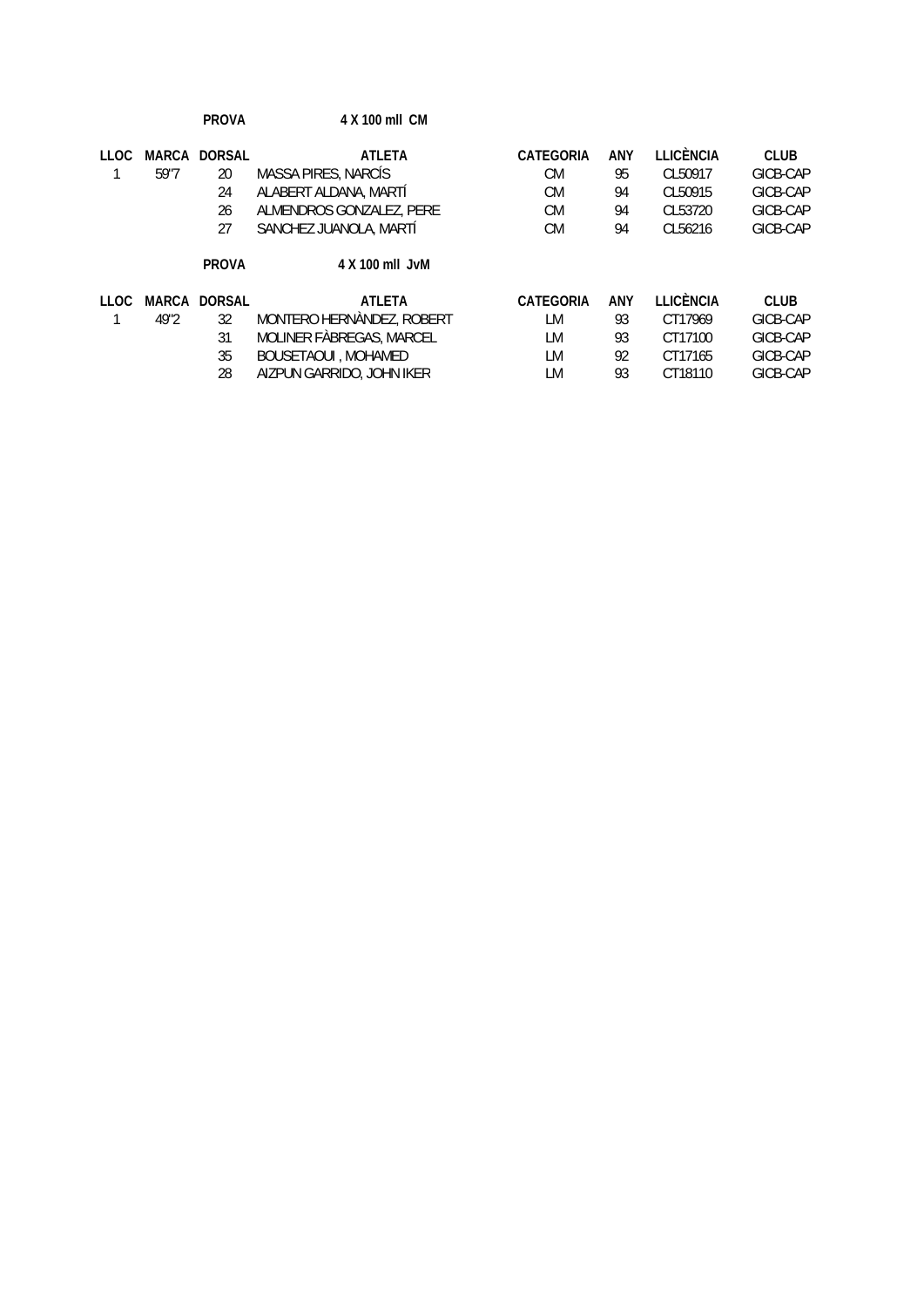|             |              | <b>PROVA</b>        | 4 X 100 mll CM             |                  |     |           |             |
|-------------|--------------|---------------------|----------------------------|------------------|-----|-----------|-------------|
| <b>LLOC</b> |              | <b>MARCA DORSAL</b> | <b>ATLETA</b>              | CATEGORIA        | ANY | LLICÈNCIA | <b>CLUB</b> |
|             | 59"7         | 20                  | MASSA PIRES, NARCIS        | <b>CM</b>        | 95  | CL50917   | GICB-CAP    |
|             |              | 24                  | ALABERT ALDANA, MARTÍ      | <b>CM</b>        | 94  | CL50915   | GICB-CAP    |
|             |              | 26                  | ALMENDROS GONZALEZ, PERE   | <b>CM</b>        | 94  | CL53720   | GICB-CAP    |
|             |              | 27                  | SANCHEZ JUANOLA, MARTÍ     | <b>CM</b>        | 94  | CL56216   | GICB-CAP    |
|             |              | <b>PROVA</b>        | 4 X 100 mll JvM            |                  |     |           |             |
| 110C        | <b>MARCA</b> | <b>DORSAL</b>       | <b>ATI FTA</b>             | <b>CATEGORIA</b> | ANY | LLICÈNCIA | <b>CLUB</b> |
|             | 49"2         | 32                  | MONTERO HERNANDEZ, ROBERT  | LM               | 93  | CT17969   | GICB-CAP    |
|             |              | 31                  | MOLINER FABREGAS, MARCEL   | LМ               | 93  | CT17100   | GICB-CAP    |
|             |              | 35                  | <b>BOUSETAOUI, MOHAMED</b> | LМ               | 92  | CT17165   | GICB-CAP    |
|             |              | 28                  | AIZPUN GARRIDO, JOHN IKER  | LM               | 93  | CT18110   | GICB-CAP    |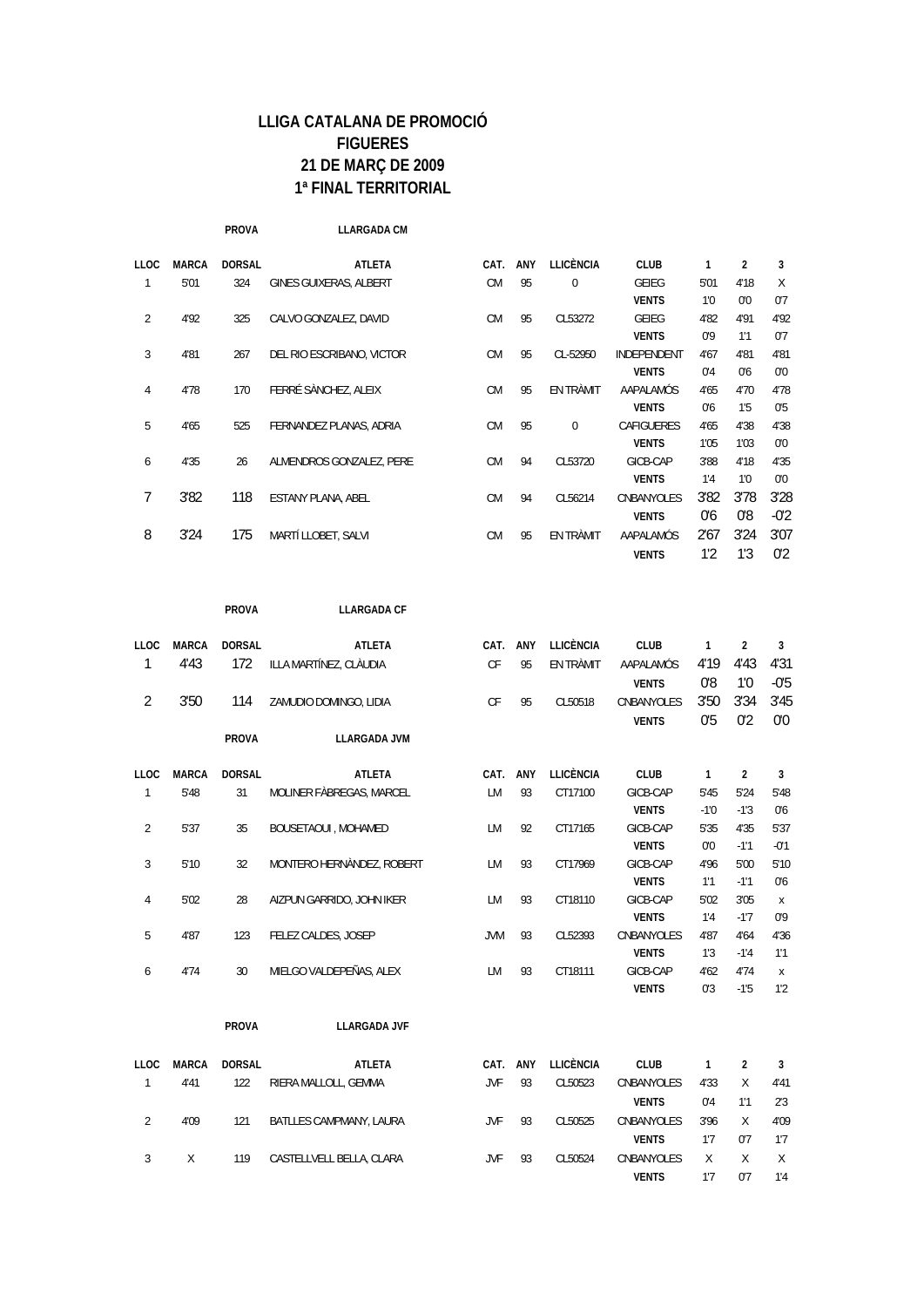**PROVA LLARGADA CM**

| <b>LLOC</b>    | <b>MARCA</b> | <b>DORSAL</b> | <b>ATLETA</b>             | CAT.      | <b>ANY</b> | <b>LLICÈNCIA</b> | <b>CLUB</b>        | 1              | $\overline{2}$ | 3      |
|----------------|--------------|---------------|---------------------------|-----------|------------|------------------|--------------------|----------------|----------------|--------|
|                | 5'01         | 324           | GINES GUIXERAS, ALBERT    | <b>CM</b> | 95         | $\mathbf 0$      | GEIEG              | 5'01           | 4'18           | Χ      |
|                |              |               |                           |           |            |                  | <b>VENTS</b>       | 1'0            | 0'0            | 0'7    |
| $\mathfrak{D}$ | 4'92         | 325           | CALVO GONZALEZ, DAVID     | <b>CM</b> | 95         | CL53272          | GFIFG              | 4'82           | 4'91           | 4'92   |
|                |              |               |                           |           |            |                  | <b>VENTS</b>       | 0,0            | 1'1            | 0'7    |
| 3              | 4'81         | 267           | DEL RIO ESCRIBANO, VICTOR | <b>CM</b> | 95         | CL-52950         | <b>INDEPENDENT</b> | 4'67           | 4'81           | 4'81   |
|                |              |               |                           |           |            |                  | <b>VENTS</b>       | 0'4            | 0 <sup>6</sup> | 0,0    |
| 4              | 4'78         | 170           | FERRÉ SÀNCHEZ, ALEIX      | <b>CM</b> | 95         | EN TRÀMIT        | AAPALAMÓS          | 4'65           | 4'70           | 4'78   |
|                |              |               |                           |           |            |                  | <b>VENTS</b>       | 0 <sup>6</sup> | 1.5            | 0.5    |
| 5              | 4'65         | 525           | FERNANDEZ PLANAS, ADRIA   | <b>CM</b> | 95         | $\Omega$         | <b>CAFIGUERES</b>  | 4'65           | 4'38           | 4'38   |
|                |              |               |                           |           |            |                  | <b>VENTS</b>       | 1'05           | 1'03           | 0,0    |
| 6              | 4'35         | 26            | ALMENDROS GONZALEZ, PERE  | <b>CM</b> | 94         | CL53720          | GICB-CAP           | 3'88           | 4'18           | 4'35   |
|                |              |               |                           |           |            |                  | <b>VENTS</b>       | 1'4            | 1'0            | 0,0    |
| 7              | 3'82         | 118           | <b>ESTANY PLANA, ABEL</b> | <b>CM</b> | 94         | CL56214          | CNBANYOLES         | 3'82           | 3'78           | 3'28   |
|                |              |               |                           |           |            |                  | <b>VENTS</b>       | 0'6            | 0'8            | $-0'2$ |
| 8              | 3'24         | 175           | MARTÍ LLOBET. SALVI       | <b>CM</b> | 95         | <b>FN TRAMIT</b> | AAPALAMÓS          | 2'67           | 3'24           | 3'07   |
|                |              |               |                           |           |            |                  | <b>VENTS</b>       | 1'2            | 1'3            | 0'2    |

**PROVA LLARGADA CF**

|              | <b>DORSAL</b> | <b>ATLETA</b>             |            | <b>ANY</b> | <b>LLICÈNCIA</b> | <b>CLUB</b>       |                | $\overline{2}$ | 3              |
|--------------|---------------|---------------------------|------------|------------|------------------|-------------------|----------------|----------------|----------------|
| 4'43         | 172           | ILLA MARTÍNEZ, CLÀUDIA    | CF         | 95         | EN TRÀMIT        | AAPALAMÓS         | 4'19           | 4'43           | 4'31           |
|              |               |                           |            |            |                  | <b>VENTS</b>      | 0'8            | 1'0            | $-0'5$         |
| 3'50         | 114           | ZAMUDIO DOMINGO, LIDIA    | <b>CF</b>  | 95         | CL50518          | <b>CNBANYOLES</b> | 3'50           | 3'34           | 3'45           |
|              |               |                           |            |            |                  | <b>VENTS</b>      | 0 <sup>5</sup> | 0'2            | 0'0            |
|              | <b>PROVA</b>  | <b>LLARGADA JVM</b>       |            |            |                  |                   |                |                |                |
| <b>MARCA</b> | <b>DORSAL</b> | <b>ATLETA</b>             | CAT.       | <b>ANY</b> | <b>LLICÈNCIA</b> | <b>CLUB</b>       | 1              | $\overline{2}$ | 3              |
| 5'48         | 31            | MOLINER FABREGAS, MARCEL  | LМ         | 93         | CT17100          | GICB-CAP          | 5'45           | 5'24           | 5'48           |
|              |               |                           |            |            |                  | <b>VENTS</b>      | $-1'0$         | $-1'3$         | 0 <sup>6</sup> |
| 5'37         | 35            | BOUSETAOUI, MOHAMED       | LМ         | 92         | CT17165          | GICB-CAP          | 5'35           | 4'35           | 5'37           |
|              |               |                           |            |            |                  | <b>VENTS</b>      | 0'0            | $-1'1$         | $-01$          |
| 5'10         | 32            | MONTERO HERNÀNDEZ, ROBERT | LM.        | 93         | CT17969          | GICB-CAP          | 4'96           | 5'00           | 5'10           |
|              |               |                           |            |            |                  | <b>VENTS</b>      | 1'1            | $-1'1$         | 0 <sup>6</sup> |
| 5'02         | 28            | AIZPUN GARRIDO, JOHN IKER | <b>LM</b>  | 93         | CT18110          | GICB-CAP          | 5'02           | 3'05           | X              |
|              |               |                           |            |            |                  | <b>VENTS</b>      | 1'4            | $-1'7$         | 0,0            |
| 4'87         | 123           | FELEZ CALDES, JOSEP       | <b>JVM</b> | 93         | CL52393          | CNBANYOLES        | 4'87           | 4'64           | 4'36           |
|              |               |                           |            |            |                  | <b>VENTS</b>      | 1'3            | $-1'4$         | 1'1            |
| 4'74         | 30            | MIELGO VALDEPEÑAS, ALEX   | LМ         | 93         | CT18111          | GICB-CAP          | 4'62           | 4'74           | X              |
|              |               |                           |            |            |                  | <b>VENTS</b>      | 0'3            | $-1'5$         | 1'2            |
|              | <b>MARCA</b>  |                           |            | CAT.       |                  |                   |                |                |                |

**PROVA LLARGADA JVF**

| LLOC | MARCA | DORSAL | ATLETA                   | CAT. | <b>ANY</b> | <b>LLICÈNCIA</b> | <b>CLUB</b>  |      |     | -3   |
|------|-------|--------|--------------------------|------|------------|------------------|--------------|------|-----|------|
|      | 4'41  | 122    | RIERA MALLOLL, GEMMA     | JVF  | 93         | CL50523          | CNBANYOLES   | 4'33 | X   | 4'41 |
|      |       |        |                          |      |            |                  | <b>VENTS</b> | 0'4  | 1'1 | 2.3  |
|      | 4'09  | 121    | BATLLES CAMPMANY, LAURA  | .JVF | 93         | CL50525          | CNBANYOLES   | 3'96 | X   | 4'09 |
|      |       |        |                          |      |            |                  | <b>VENTS</b> | 1'7  | 0'7 | 1'7  |
|      |       | 119    | CASTELLVELL BELLA, CLARA | .JVF | 93         | CL50524          | CNBANYOLES   | X    | X   | X    |
|      |       |        |                          |      |            |                  | <b>VENTS</b> | 1'7  | 0'7 | 1'4  |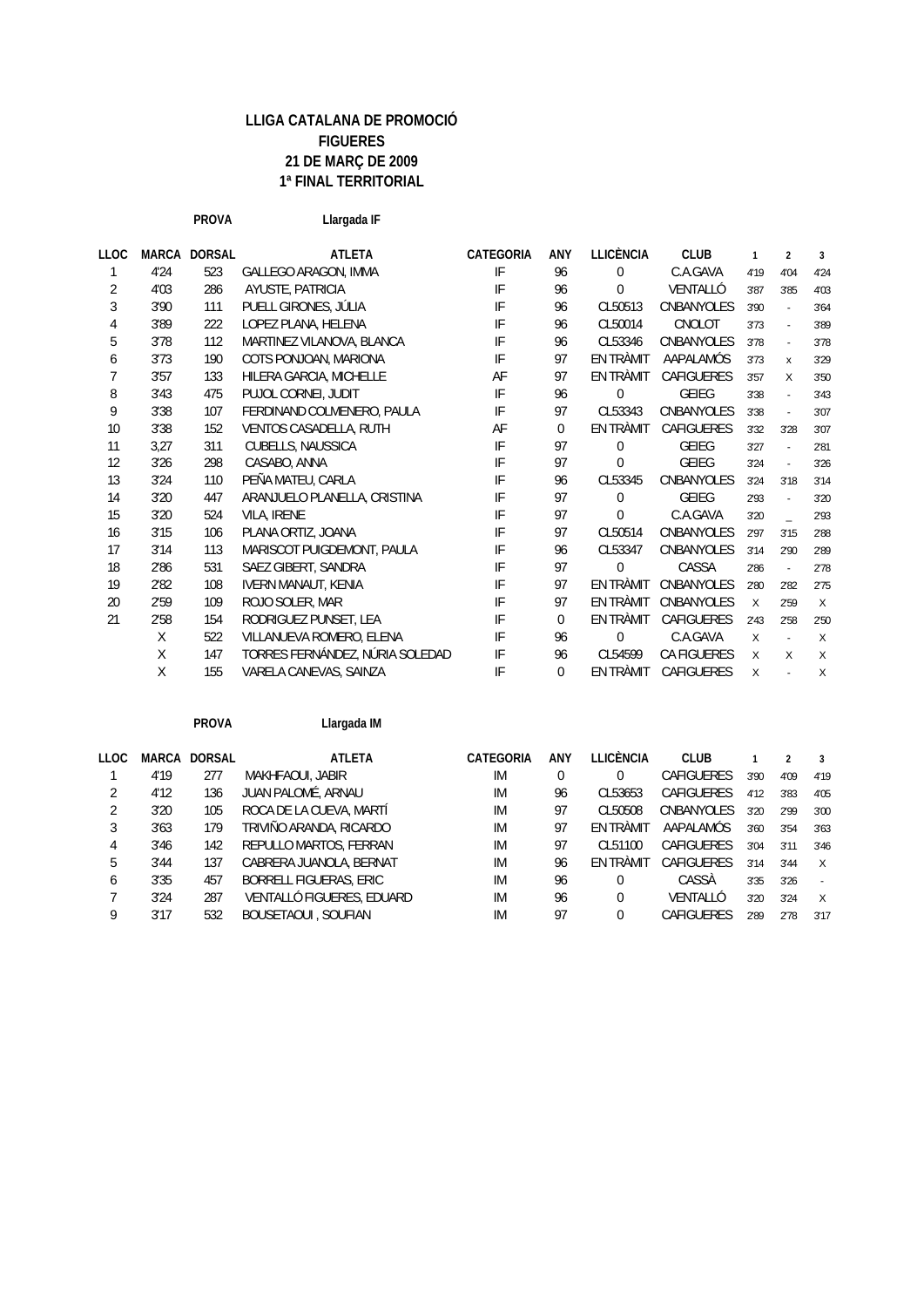**PROVA Llargada IF LLOC MARCA DORSAL ATLETA CATEGORIA ANY LLICÈNCIA CLUB 123** 1 4'24 523 GALLEGO ARAGON, IMMA IF 96 0 C.A.GAVA 4'19 4'04 4'24 2 4'03 286 AYUSTE, PATRICIA IF 96 0 VENTALLÓ 3'87 3'85 4'03 3 3'90 111 PUELL GIRONES, JÚLIA IF 96 CL50513 CNBANYOLES 3'90 - 3'64 4 3'89 222 LOPEZ PLANA, HELENA IF 96 CL50014 CNOLOT 3'73 - 3'89 5 3'78 112 MARTINEZ VILANOVA, BLANCA IF 96 CL53346 CNBANYOLES 3'78 - 3'78 6 3'73 190 COTS PONJOAN, MARIONA IF 97 EN TRÀMIT AAPALAMÓS 3'73 x 3'29 7 3'57 133 HILERA GARCIA, MICHELLE AF 97 EN TRÀMIT CAFIGUERES 3'57 X 3'50 8 3'43 475 PUJOL CORNEL JUDIT THE 96 0 GEIEG 3'38 - 3'43 9 3'38 107 FERDINAND COLMENERO, PAULA IF 97 CL53343 CNBANYOLES 3'38 - 3'07 10 3'38 152 VENTOS CASADELLA, RUTH AF O EN TRÀMIT CAFIGUERES 3'32 3'28 3'07 11 3,27 311 CUBELLS, NAUSSICA IF 97 0 GEIEG 3'27 - 2'81 12 3'26 298 CASABO, ANNA IF 97 0 GEIEG 3'24 - 3'26 13 3'24 110 PEÑA MATEU, CARLA IF 96 CL53345 CNBANYOLES 3'24 3'18 3'14 14 3'20 447 ARANJUELO PLANELLA, CRISTINA IF 97 0 GEIEG 2'93 - 3'20 15 3'20 524 VILA, IRENE IF 97 0 C.A.GAVA 3'20 \_ 2'93 16 3'15 106 PLANA ORTIZ, JOANA IF 97 CL50514 CNBANYOLES 2'97 3'15 2'88 17 3'14 113 MARISCOT PUIGDEMONT, PAULA IF 96 CL53347 CNBANYOLES 3'14 2'90 2'89 18 2'86 531 SAEZ GIBERT, SANDRA IF 97 0 CASSA 2'86 - 2'78 19 2'82 108 IVERN MANAUT, KENIA IF 97 EN TRÀMIT CNBANYOLES 2'80 2'82 2'75 20 2'59 109 ROJO SOLER, MAR **IF 97 EN TRÀMIT CNBANYOLES** x 2'59 x 21 2'58 154 RODRIGUEZ PUNSET. LEA IF O EN TRÀMIT CAFIGUERES 2'43 2'58 2'50 X 522 VILLANUEVA ROMERO, ELENA IF 96 0 C.A.GAVA X - X X 147 TORRES FERNÁNDEZ, NÚRIA SOLEDAD IF 96 CL54599 CA FIGUERES X X X X 155 VARELA CANEVAS, SAINZA IF 0 EN TRÀMIT CAFIGUERES X-X

**PROVA Llargada IM**

| LLOC         | MARCA | <b>DORSAL</b> | <b>ATLETA</b>                 | CATEGORIA | <b>ANY</b> | LLICÈNCIA | <b>CLUB</b>       |      |      | -3           |
|--------------|-------|---------------|-------------------------------|-----------|------------|-----------|-------------------|------|------|--------------|
|              | 4'19  | 277           | MAKHFAOUI, JABIR              | <b>IM</b> | 0          | 0         | <b>CAFIGUERES</b> | 3'90 | 4'09 | 4'19         |
|              | 4'12  | 136           | JUAN PALOMÉ, ARNAU            | IM        | 96         | CL53653   | <b>CAFIGUERES</b> | 4'12 | 3'83 | 4'05         |
|              | 3'20  | 105           | ROCA DE LA CUEVA, MARTÍ       | IM        | 97         | CL50508   | <b>CNBANYOLES</b> | 3'20 | 2'99 | 3'00         |
|              | 3'63  | 179           | TRIVIÑO ARANDA, RICARDO       | IM        | 97         | EN TRÀMIT | AAPALAMÓS         | 3'60 | 3'54 | 3'63         |
| 4            | 3'46  | 142           | REPULLO MARTOS, FERRAN        | IM        | 97         | CL51100   | <b>CAFIGUERES</b> | 3'04 | 3'11 | 3'46         |
| 5            | 3'44  | 137           | CABRERA JUANOLA, BERNAT       | IM        | 96         | EN TRÀMIT | <b>CAFIGUERES</b> | 3'14 | 3'44 | $\times$     |
| <sub>6</sub> | 3'35  | 457           | <b>BORRELL FIGUERAS, ERIC</b> | IM        | 96         | $\Omega$  | CASSÀ             | 3'35 | 3'26 |              |
|              | 3'24  | 287           | VENTALLÓ FIGUERES, EDUARD     | IM        | 96         | $\Omega$  | VENTALLÓ          | 3'20 | 3'24 | $\mathsf{X}$ |
|              | 3'17  | 532           | <b>BOUSETAOUI, SOUFIAN</b>    | IM        | 97         | 0         | CAFIGUERES        | 2'89 | 2'78 | 3'17         |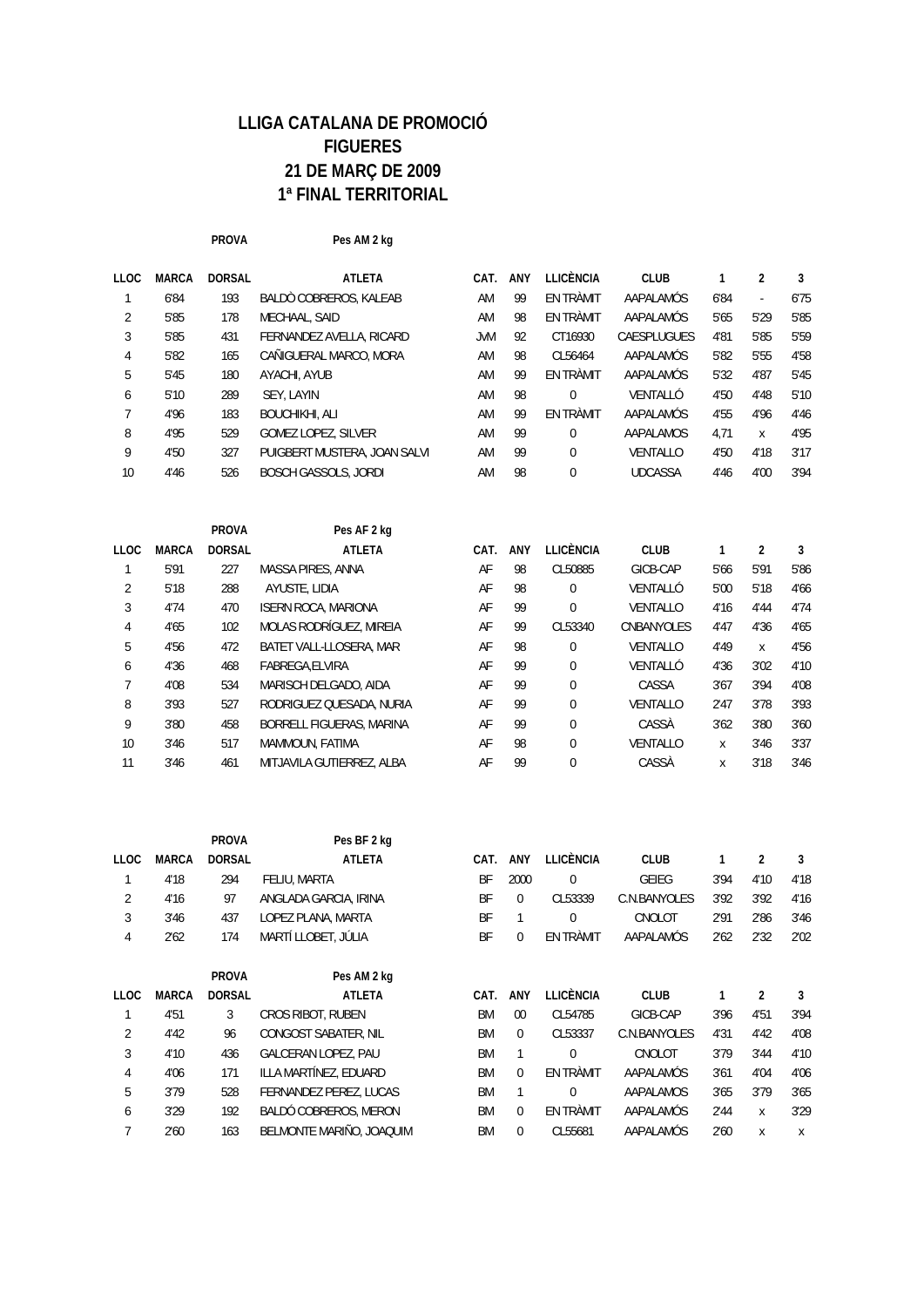**PROVA Pes AM 2 kg**

| <b>LLOC</b> | <b>MARCA</b> | <b>DORSAL</b> | <b>ATLETA</b>                | CAT. | <b>ANY</b> | LLICÈNCIA | <b>CLUB</b>        |      | 2    | 3    |
|-------------|--------------|---------------|------------------------------|------|------------|-----------|--------------------|------|------|------|
|             | 6'84         | 193           | BALDO COBREROS, KALEAB       | AM   | 99         | EN TRÀMIT | AAPALAMÓS          | 6'84 | ٠    | 6'75 |
| 2           | 5'85         | 178           | MECHAAL, SAID                | AM   | 98         | EN TRÀMIT | AAPALAMÓS          | 5'65 | 5'29 | 5'85 |
| 3           | 5'85         | 431           | FERNANDEZ AVELLA, RICARD     | JvM  | 92         | CT16930   | <b>CAESPLUGUES</b> | 4'81 | 5'85 | 5'59 |
| 4           | 5'82         | 165           | CAÑIGUERAL MARCO, MORA       | AM   | 98         | CL56464   | AAPALAMÓS          | 5'82 | 5'55 | 4'58 |
| 5           | 5'45         | 180           | AYACHI, AYUB                 | AM   | 99         | EN TRÀMIT | AAPALAMÓS          | 5'32 | 4'87 | 5'45 |
| 6           | 5'10         | 289           | SEY, LAYIN                   | AM   | 98         | $\Omega$  | VENTALLÓ           | 4'50 | 4'48 | 5'10 |
| 7           | 4'96         | 183           | <b>BOUCHIKHI, ALI</b>        | AM   | 99         | EN TRÀMIT | AAPALAMÓS          | 4'55 | 4'96 | 4'46 |
| 8           | 4'95         | 529           | <b>GOMEZ LOPEZ, SILVER</b>   | AM   | 99         | $\theta$  | <b>AAPALAMOS</b>   | 4.71 | X    | 4'95 |
| 9           | 4'50         | 327           | PUIGBERT MUSTERA, JOAN SALVI | AM   | 99         | $\Omega$  | <b>VENTALLO</b>    | 4'50 | 4'18 | 3'17 |
| 10          | 4'46         | 526           | <b>BOSCH GASSOLS, JORDI</b>  | AM   | 98         | $\theta$  | <b>UDCASSA</b>     | 4'46 | 4'00 | 3'94 |
|             |              |               |                              |      |            |           |                    |      |      |      |

|      |              | <b>PROVA</b>  | Pes AF 2 kg                |      |     |             |                 |      |      |      |
|------|--------------|---------------|----------------------------|------|-----|-------------|-----------------|------|------|------|
| LLOC | <b>MARCA</b> | <b>DORSAL</b> | <b>ATLETA</b>              | CAT. | ANY | LLICÈNCIA   | <b>CLUB</b>     |      | 2    | 3    |
|      | 5'91         | 227           | MASSA PIRES, ANNA          | AF   | 98  | CL50885     | GICB-CAP        | 5'66 | 5'91 | 5'86 |
| 2    | 5'18         | 288           | AYUSTE, LIDIA              | AF   | 98  | $\theta$    | VENTALLÓ        | 5'00 | 5'18 | 4'66 |
| 3    | 4'74         | 470           | <b>ISERN ROCA, MARIONA</b> | AF   | 99  | $\mathbf 0$ | <b>VENTALLO</b> | 4'16 | 4'44 | 4'74 |
| 4    | 4'65         | 102           | MOLAS RODRÍGUEZ, MIREIA    | AF   | 99  | CL53340     | CNBANYOLES      | 4'47 | 4'36 | 4'65 |
| 5    | 4'56         | 472           | BATET VALL-LLOSERA, MAR    | AF   | 98  | 0           | <b>VENTALLO</b> | 4'49 | X    | 4'56 |
| 6    | 4'36         | 468           | FABREGA.ELVIRA             | AF   | 99  | $\theta$    | VENTALLÓ        | 4'36 | 3'02 | 4'10 |
|      | 4'08         | 534           | MARISCH DELGADO, AIDA      | AF   | 99  | $\Omega$    | CASSA           | 3'67 | 3'94 | 4'08 |
| 8    | 3'93         | 527           | RODRIGUEZ QUESADA, NURIA   | AF   | 99  | $\Omega$    | <b>VENTALLO</b> | 2'47 | 3'78 | 3'93 |
| 9    | 3'80         | 458           | BORRELL FIGUERAS, MARINA   | AF   | 99  | $\theta$    | CASSÀ           | 3'62 | 3'80 | 3'60 |
| 10   | 3'46         | 517           | MAMMOUN, FATIMA            | AF   | 98  | $\Omega$    | <b>VENTALLO</b> | X    | 3'46 | 3'37 |
| 11   | 3'46         | 461           | MITJAVILA GUTIERREZ, ALBA  | AF   | 99  | $\Omega$    | CASSÀ           | x    | 3'18 | 3'46 |

|                |              | <b>PROVA</b>  | Pes BF 2 kg                |           |              |                  |                  |      |      |      |
|----------------|--------------|---------------|----------------------------|-----------|--------------|------------------|------------------|------|------|------|
| <b>LLOC</b>    | <b>MARCA</b> | <b>DORSAL</b> | <b>ATLETA</b>              | CAT.      | <b>ANY</b>   | <b>LLICÈNCIA</b> | <b>CLUB</b>      | 1    | 2    | 3    |
|                | 4'18         | 294           | FELIU, MARTA               | BF        | 2000         | 0                | <b>GEIEG</b>     | 3'94 | 4'10 | 4'18 |
| 2              | 4'16         | 97            | ANGLADA GARCIA, IRINA      | <b>BF</b> | 0            | CL53339          | C.N.BANYOLES     | 3'92 | 3'92 | 4'16 |
| 3              | 3'46         | 437           | LOPEZ PLANA, MARTA         | <b>BF</b> |              | $\mathbf 0$      | CNOLOT           | 2'91 | 2'86 | 3'46 |
| 4              | 2'62         | 174           | MARTÍ LLOBET. JÚLIA        | BF        | 0            | EN TRÀMIT        | <b>AAPALAMÓS</b> | 2'62 | 2'32 | 2'02 |
|                |              | <b>PROVA</b>  | Pes AM 2 kg                |           |              |                  |                  |      |      |      |
| <b>LLOC</b>    | <b>MARCA</b> | <b>DORSAL</b> | <b>ATLETA</b>              | CAT.      | <b>ANY</b>   | LLICÈNCIA        | <b>CLUB</b>      |      | 2    | 3    |
|                | 4'51         | 3             | CROS RIBOT, RUBEN          | <b>BM</b> | $00 \,$      | CL54785          | GICB-CAP         | 3'96 | 4'51 | 3'94 |
| $\overline{2}$ | 4'42         | 96            | CONGOST SABATER, NIL       | <b>BM</b> | $\Omega$     | CL53337          | C.N.BANYOLES     | 4'31 | 4'42 | 4'08 |
| 3              | 4'10         | 436           | <b>GALCERAN LOPEZ, PAU</b> | <b>BM</b> |              | $\theta$         | CNOLOT           | 3'79 | 3'44 | 4'10 |
| 4              | 4'06         | 171           | ILLA MARTÍNEZ, EDUARD      | <b>BM</b> | $\Omega$     | EN TRÀMIT        | AAPALAMÓS        | 3'61 | 4'04 | 4'06 |
| 5              | 3'79         | 528           | FERNANDEZ PEREZ, LUCAS     | <b>BM</b> | $\mathbf{1}$ | $\Omega$         | AAPALAMOS        | 3'65 | 3'79 | 3'65 |
| 6              | 3'29         | 192           | BALDÓ COBREROS, MERON      | <b>BM</b> | $\Omega$     | EN TRÀMIT        | AAPALAMÓS        | 2'44 | X    | 3'29 |

7 2'60 163 BELMONTE MARIÑO, JOAQUIM BM 0 CL55681 AAPALAMÓS 2'60 x x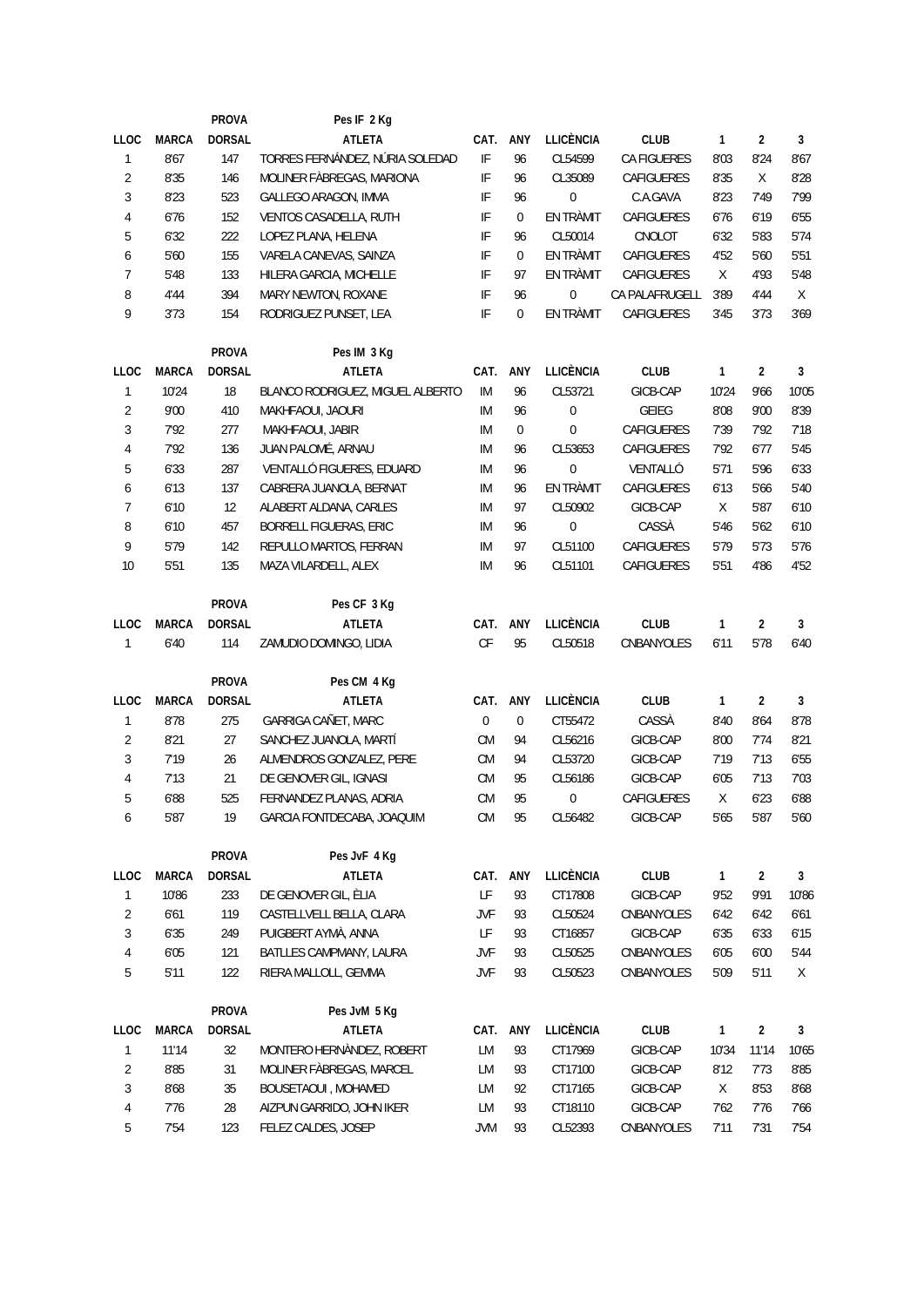|                |              | <b>PROVA</b>  | Pes IF 2 Kg                      |                                                                                             |                |                  |                    |              |                |              |
|----------------|--------------|---------------|----------------------------------|---------------------------------------------------------------------------------------------|----------------|------------------|--------------------|--------------|----------------|--------------|
| <b>LLOC</b>    | <b>MARCA</b> | <b>DORSAL</b> | <b>ATLETA</b>                    | CAT.                                                                                        | ANY            | <b>LLICÈNCIA</b> | <b>CLUB</b>        | 1            | $\overline{2}$ | $\mathbf{3}$ |
| $\mathbf{1}$   | 8'67         | 147           | TORRES FERNÁNDEZ, NÚRIA SOLEDAD  | IF                                                                                          | 96             | CL54599          | <b>CA FIGUERES</b> | 8'03         | 8'24           | 8'67         |
| 2              | 8'35         | 146           | MOLINER FÀBREGAS, MARIONA        | $\ensuremath{\mathsf{IF}}$                                                                  | 96             | CL35089          | CAFIGUERES         | 8'35         | $\mathsf{X}$   | 8'28         |
| 3              | 8'23         | 523           | GALLEGO ARAGON, IMMA             | IF                                                                                          | 96             | 0                | C.A.GAVA           | 8'23         | 7'49           | 7'99         |
| 4              | 6'76         | 152           | VENTOS CASADELLA, RUTH           | IF                                                                                          | $\overline{0}$ | EN TRÀMIT        | CAFIGUERES         | 6'76         | 6'19           | 6'55         |
| 5              | 6'32         | 222           | LOPEZ PLANA, HELENA              | IF                                                                                          | 96             | CL50014          | CNOLOT             | 6'32         | 5'83           | 5'74         |
| 6              | 5'60         | 155           | VARELA CANEVAS, SAINZA           | IF                                                                                          | $\mathbf 0$    | EN TRÀMIT        | CAFIGUERES         | 4'52         | 5'60           | 5'51         |
| $\overline{7}$ | 5'48         | 133           | HILERA GARCIA, MICHELLE          | IF                                                                                          | 97             | EN TRÀMIT        | CAFIGUERES         | X            | 4'93           | 5'48         |
| 8              | 4'44         | 394           | MARY NEWTON, ROXANE              | IF                                                                                          | 96             | 0                | CA PALAFRUGELL     | 3'89         | 4'44           | X            |
| 9              | 3'73         | 154           | RODRIGUEZ PUNSET, LEA            | $\ensuremath{\mathsf{IF}}$                                                                  | 0              | EN TRÀMIT        | CAFIGUERES         | 3'45         | 3'73           | 3'69         |
|                |              | PROVA         | Pes IM 3 Kg                      |                                                                                             |                |                  |                    |              |                |              |
| LLOC           | <b>MARCA</b> | <b>DORSAL</b> | <b>ATLETA</b>                    | CAT.                                                                                        | ANY            | <b>LLICÈNCIA</b> | <b>CLUB</b>        | $\mathbf{1}$ | $\overline{2}$ | $\mathbf{3}$ |
| $\mathbf{1}$   | 10'24        | 18            | BLANCO RODRIGUEZ, MIGUEL ALBERTO | IM                                                                                          | 96             | CL53721          | GICB-CAP           | 10'24        | 9'66           | 10'05        |
| $\overline{2}$ | 9'00         | 410           | MAKHFAOUI, JAOURI                | IM                                                                                          | 96             | $\pmb{0}$        | <b>GEIEG</b>       | 8'08         | 9'00           | 8'39         |
| 3              | 7'92         | 277           | MAKHFAOUI, JABIR                 | ΙM                                                                                          | 0              | $\bf{0}$         | CAFIGUERES         | 7'39         | 7'92           | 7'18         |
| 4              | 7'92         | 136           | JUAN PALOMÉ, ARNAU               | ΙM                                                                                          | 96             | CL53653          | <b>CAFIGUERES</b>  | 7'92         | 6'77           | 5'45         |
| 5              | 6'33         | 287           | VENTALLÓ FIGUERES, EDUARD        | IM                                                                                          | 96             | 0                | VENTALLÓ           | 5'71         | 5'96           | 6'33         |
| 6              | 6'13         | 137           | CABRERA JUANOLA, BERNAT          | ΙM                                                                                          | 96             | EN TRÀMIT        | CAFIGUERES         | 6'13         | 5'66           | 5'40         |
| 7              | 6'10         | 12            | ALABERT ALDANA, CARLES           | ΙM                                                                                          | 97             | CL50902          | GICB-CAP           | X            | 5'87           | 6'10         |
| 8              | 6'10         | 457           | BORRELL FIGUERAS, ERIC           | ΙM                                                                                          | 96             | $\boldsymbol{0}$ | CASSÀ              | 5'46         | 5'62           | 6'10         |
| 9              | 5'79         | 142           | REPULLO MARTOS, FERRAN           | IM                                                                                          | 97             | CL51100          | CAFIGUERES         | 5'79         | 5'73           | 5'76         |
| 10             | 5'51         | 135           | MAZA VILARDELL, ALEX             | ΙM                                                                                          | 96             | CL51101          | <b>CAFIGUERES</b>  | 5'51         | 4'86           | 4'52         |
|                |              |               |                                  |                                                                                             |                |                  |                    |              |                |              |
|                |              | PROVA         | Pes CF 3 Kg                      |                                                                                             |                |                  |                    |              |                |              |
| <b>LLOC</b>    | <b>MARCA</b> | <b>DORSAL</b> | <b>ATLETA</b>                    | CAT.                                                                                        | ANY            | <b>LLICÈNCIA</b> | <b>CLUB</b>        | $\mathbf{1}$ | $\overline{2}$ | $\mathbf{3}$ |
| $\mathbf{1}$   | 6'40         | 114           | ZAMUDIO DOMINGO, LIDIA           | CF                                                                                          | 95             | CL50518          | CNBANYOLES         | 6'11         | 5'78           | 6'40         |
|                |              | <b>PROVA</b>  | Pes CM 4 Kg                      |                                                                                             |                |                  |                    |              |                |              |
| <b>LLOC</b>    | <b>MARCA</b> | <b>DORSAL</b> | <b>ATLETA</b>                    | CAT.                                                                                        | ANY            | <b>LLICÈNCIA</b> | <b>CLUB</b>        | $\mathbf{1}$ | $\overline{2}$ | $\mathbf{3}$ |
| 1              | 8'78         | 275           | GARRIGA CAÑET, MARC              | $\mathbf{0}$                                                                                | $\overline{0}$ | CT55472          | CASSÀ              | 8'40         | 8'64           | 8'78         |
| $\overline{2}$ | 8'21         | 27            | SANCHEZ JUANOLA, MARTÍ           | <b>CM</b>                                                                                   | 94             | CL56216          | GICB-CAP           | 8'00         | 7'74           | 8'21         |
| 3              | 7'19         | 26            | ALMENDROS GONZALEZ, PERE         | <b>CM</b>                                                                                   | 94             | CL53720          | GICB-CAP           | 7'19         | 7'13           | 6'55         |
| 4              | 7'13         | 21            | DE GENOVER GIL, IGNASI           | <b>CM</b>                                                                                   | 95             | CL56186          | GICB-CAP           | 6'05         | 7'13           | 7'03         |
| 5              | 6'88         | 525           | FERNANDEZ PLANAS, ADRIA          | <b>CM</b>                                                                                   | 95             | 0                | <b>CAFIGUERES</b>  | X            | 6'23           | 6'88         |
| 6              | 5'87         | 19            | GARCIA FONTDECABA, JOAQUIM       | CM                                                                                          | 95             | CL56482          | GICB-CAP           | 5'65         | 5'87           | 5'60         |
|                |              | PROVA         | Pes JvF 4 Kg                     |                                                                                             |                |                  |                    |              |                |              |
| <b>LLOC</b>    | <b>MARCA</b> | <b>DORSAL</b> | <b>ATLETA</b>                    | CAT.                                                                                        | ANY            | <b>LLICÈNCIA</b> | <b>CLUB</b>        | $\mathbf{1}$ | $\overline{2}$ | $\mathbf{3}$ |
| 1              | 10'86        | 233           | DE GENOVER GIL, ÈLIA             | $\mathsf{LF}% _{0}\left( \mathcal{N}\right) \equiv\mathsf{LF}_{0}\left( \mathcal{N}\right)$ | 93             | CT17808          | GICB-CAP           | 9'52         | 9'91           | 10'86        |
| 2              | 6'61         | 119           | CASTELLVELL BELLA, CLARA         | <b>JVF</b>                                                                                  | 93             | CL50524          | CNBANYOLES         | 6'42         | 6'42           | 6'61         |
| 3              | 6'35         | 249           | PUIGBERT AYMÀ, ANNA              | LF                                                                                          | 93             | CT16857          | GICB-CAP           | 6'35         | 6'33           | 6'15         |
| 4              | 6'05         | 121           | BATLLES CAMPMANY, LAURA          | <b>JVF</b>                                                                                  | 93             | CL50525          | CNBANYOLES         | 6'05         | 6'00           | 5'44         |
| 5              | 5'11         | 122           | RIERA MALLOLL, GEMMA             | <b>JVF</b>                                                                                  | 93             | CL50523          | CNBANYOLES         | 5'09         | 5'11           | X            |
|                |              |               |                                  |                                                                                             |                |                  |                    |              |                |              |
|                |              | PROVA         | Pes JvM 5 Kg                     |                                                                                             |                |                  |                    |              |                |              |
| <b>LLOC</b>    | <b>MARCA</b> | <b>DORSAL</b> | <b>ATLETA</b>                    | CAT.                                                                                        | ANY            | <b>LLICÈNCIA</b> | <b>CLUB</b>        | $\mathbf{1}$ | $\overline{2}$ | $\mathbf{3}$ |
| 1              | 11'14        | 32            | MONTERO HERNÀNDEZ, ROBERT        | LM                                                                                          | 93             | CT17969          | GICB-CAP           | 10'34        | 11'14          | 10'65        |
| $\overline{2}$ | 8'85         | 31            | MOLINER FÀBREGAS, MARCEL         | LM                                                                                          | 93             | CT17100          | GICB-CAP           | 8'12         | 7'73           | 8'85         |
| 3              | 8'68         | 35            | BOUSETAOUI, MOHAMED              | LM                                                                                          | 92             | CT17165          | GICB-CAP           | X            | 8'53           | 8'68         |
| 4              | 7'76         | 28            | AIZPUN GARRIDO, JOHN IKER        | LM                                                                                          | 93             | CT18110          | GICB-CAP           | 7'62         | 7'76           | 7'66         |
| 5              | 7'54         | 123           | FELEZ CALDES, JOSEP              | <b>JVM</b>                                                                                  | 93             | CL52393          | CNBANYOLES         | 7'11         | 7'31           | 7'54         |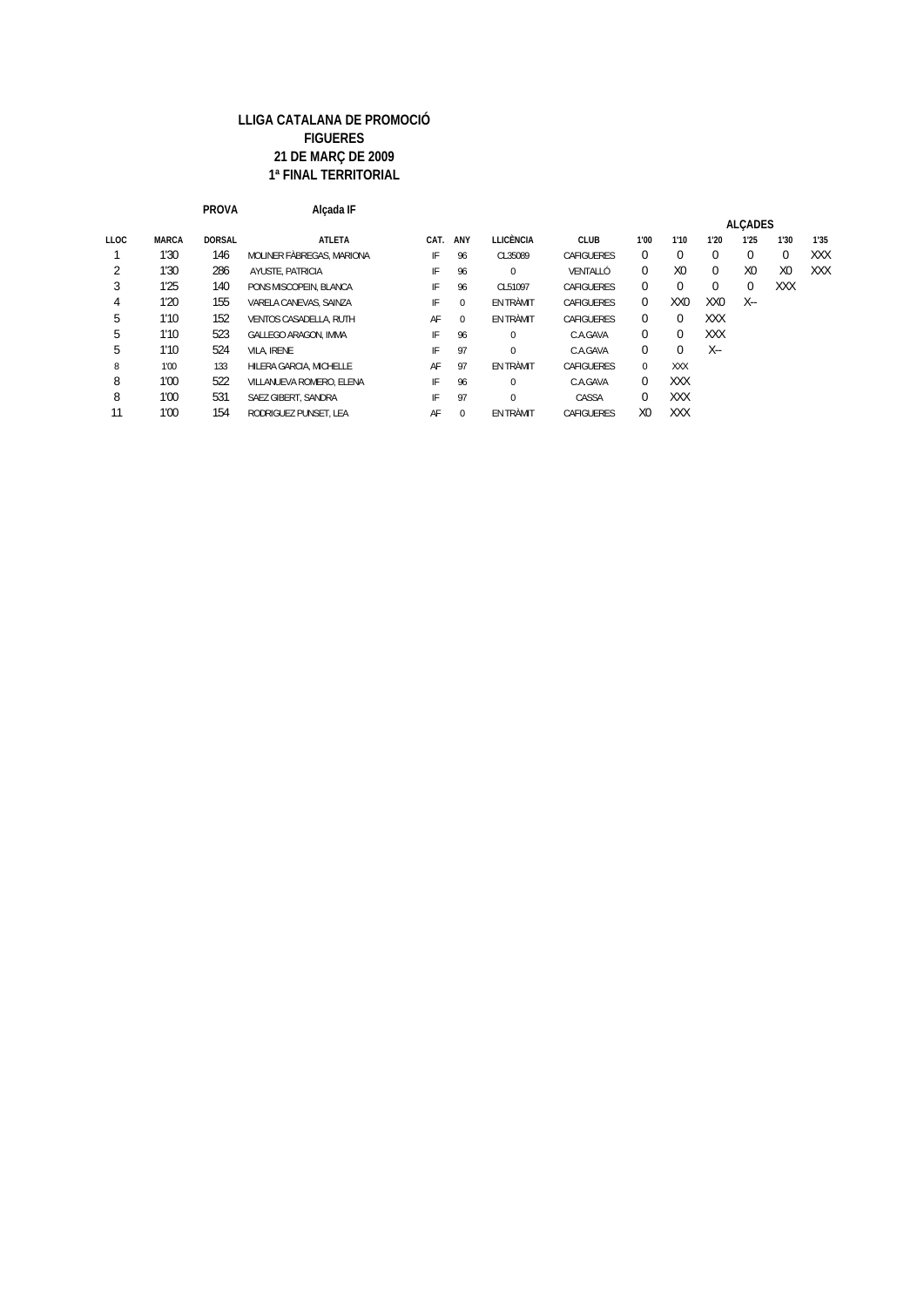|             |              | <b>PROVA</b>  | Alcada IF                     |      |          |                  |                   |                |                 |                 |                |                |      |
|-------------|--------------|---------------|-------------------------------|------|----------|------------------|-------------------|----------------|-----------------|-----------------|----------------|----------------|------|
|             |              |               |                               |      |          |                  |                   |                |                 |                 | <b>ALCADES</b> |                |      |
| <b>LLOC</b> | <b>MARCA</b> | <b>DORSAL</b> | <b>ATLETA</b>                 | CAT. | ANY      | <b>LLICÈNCIA</b> | <b>CLUB</b>       | 1'00           | 1'10            | 1'20            | 1'25           | 1'30           | 1'35 |
|             | 1'30         | 146           | MOLINER FÄBREGAS, MARIONA     | IF   | 96       | CL35089          | <b>CAFIGUERES</b> | 0              | 0               | $\Omega$        | $\Omega$       | $\Omega$       | XXX  |
| 2           | 1'30         | 286           | AYUSTE, PATRICIA              | IF   | 96       | $\Omega$         | VENTALIÓ          | $\Omega$       | X <sub>0</sub>  | $\Omega$        | X <sub>0</sub> | X <sub>0</sub> | XXX  |
| 3           | 1'25         | 140           | PONS MISCOPEIN. BLANCA        | IF   | 96       | CL51097          | CAFIGUERES        | 0              | 0               | $\Omega$        | $\mathbf{0}$   | XXX            |      |
| 4           | 1'20         | 155           | VARELA CANEVAS, SAINZA        | IF   | $\Omega$ | EN TRÀMIT        | CAFIGUERES        | $\Omega$       | XX <sub>0</sub> | XX <sub>0</sub> | X--            |                |      |
| 5           | 1'10         | 152           | <b>VENTOS CASADELLA, RUTH</b> | AF   | $\Omega$ | <b>EN TRÀMIT</b> | <b>CAFIGUERES</b> | $\Omega$       | $\Omega$        | <b>XXX</b>      |                |                |      |
| b           | 1'10         | 523           | GALLEGO ARAGON, IMMA          | IF   | 96       | 0                | C.A.GAVA          | 0              | 0               | <b>XXX</b>      |                |                |      |
| 5           | 1'10         | 524           | VILA, IRENE                   | IF   | 97       | $\Omega$         | C.A.GAVA          | $\Omega$       | 0               | $X -$           |                |                |      |
| 8           | 1'00         | 133           | HILERA GARCIA, MICHELLE       | AF   | 97       | <b>FN TRÀMIT</b> | <b>CAFIGUERES</b> | $\Omega$       | <b>XXX</b>      |                 |                |                |      |
| 8           | 1'00         | 522           | VILLANUEVA ROMERO. ELENA      | IF   | 96       | 0                | C.A.GAVA          | $\Omega$       | <b>XXX</b>      |                 |                |                |      |
| 8           | 1'00         | 531           | SAEZ GIBERT, SANDRA           | IF   | 97       | $\Omega$         | CASSA             | $\Omega$       | <b>XXX</b>      |                 |                |                |      |
| 11          | 1'00         | 154           | RODRIGUEZ PUNSET. LEA         | AF   | $\Omega$ | EN TRÀMIT        | CAFIGUERES        | X <sub>0</sub> | <b>XXX</b>      |                 |                |                |      |